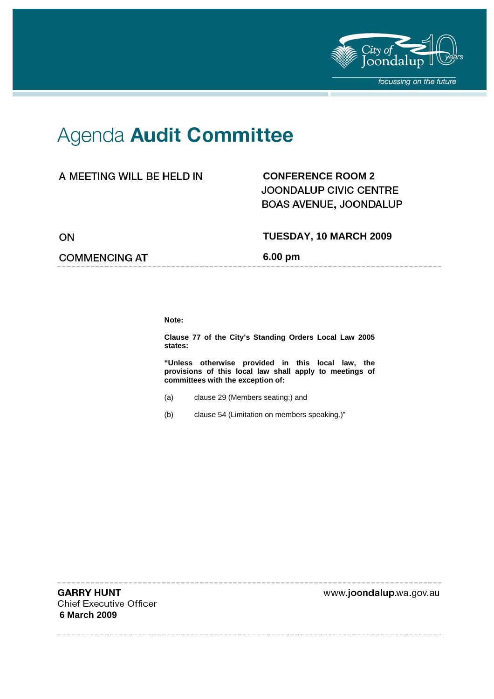

--------------

## Agenda Audit Committee

## A MEETING WILL BE HELD IN

## **CONFERENCE ROOM 2**  JOONDALUP CIVIC CENTRE BOAS AVENUE, JOONDALUP

ON

## **COMMENCING AT**

**TUESDAY, 10 MARCH 2009** 

**6.00 pm** 

**Note:** 

**Clause 77 of the City's Standing Orders Local Law 2005 states:** 

**"Unless otherwise provided in this local law, the provisions of this local law shall apply to meetings of committees with the exception of:** 

- (a) clause 29 (Members seating;) and
- (b) clause 54 (Limitation on members speaking.)"

**GARRY HUNT Chief Executive Officer 6 March 2009** 

www.joondalup.wa.gov.au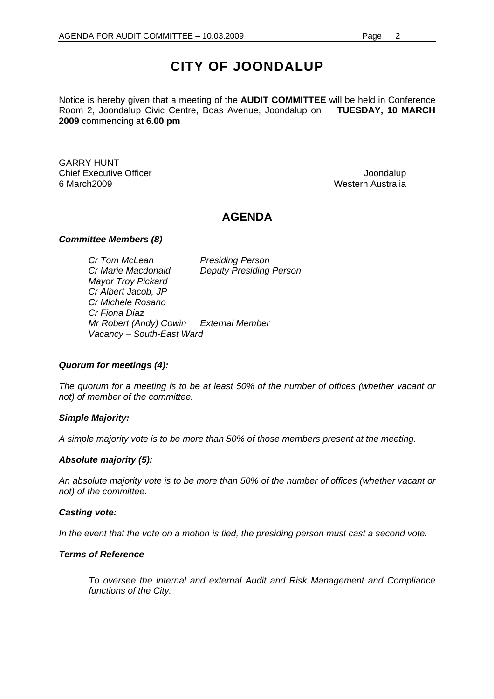## **CITY OF JOONDALUP**

Notice is hereby given that a meeting of the **AUDIT COMMITTEE** will be held in Conference Room 2, Joondalup Civic Centre, Boas Avenue, Joondalup on **TUESDAY, 10 MARCH 2009** commencing at **6.00 pm** 

GARRY HUNT Chief Executive Officer **Joondalup** 6 March2009 Western Australia

## **AGENDA**

### *Committee Members (8)*

*Cr Tom McLean Presiding Person Cr Marie Macdonald Deputy Presiding Person Mayor Troy Pickard Cr Albert Jacob, JP Cr Michele Rosano Cr Fiona Diaz Mr Robert (Andy) Cowin External Member Vacancy – South-East Ward* 

## *Quorum for meetings (4):*

*The quorum for a meeting is to be at least 50% of the number of offices (whether vacant or not) of member of the committee.* 

### *Simple Majority:*

*A simple majority vote is to be more than 50% of those members present at the meeting.* 

## *Absolute majority (5):*

*An absolute majority vote is to be more than 50% of the number of offices (whether vacant or not) of the committee.* 

### *Casting vote:*

In the event that the vote on a motion is tied, the presiding person must cast a second vote.

### *Terms of Reference*

*To oversee the internal and external Audit and Risk Management and Compliance functions of the City.*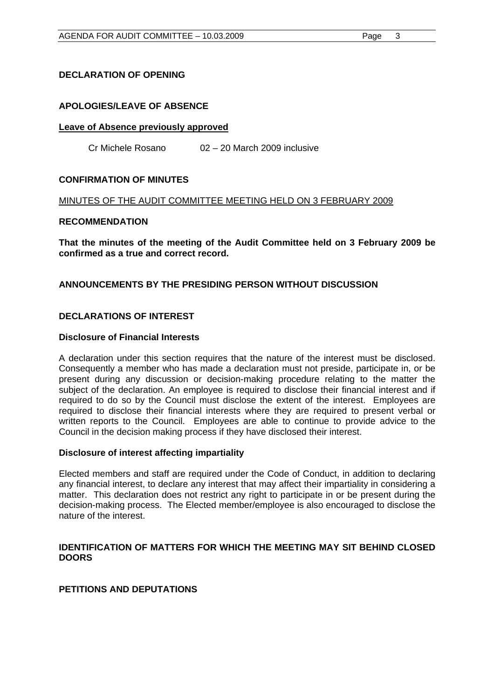## **DECLARATION OF OPENING**

## **APOLOGIES/LEAVE OF ABSENCE**

### **Leave of Absence previously approved**

Cr Michele Rosano 02 – 20 March 2009 inclusive

### **CONFIRMATION OF MINUTES**

### MINUTES OF THE AUDIT COMMITTEE MEETING HELD ON 3 FEBRUARY 2009

### **RECOMMENDATION**

**That the minutes of the meeting of the Audit Committee held on 3 February 2009 be confirmed as a true and correct record.** 

## **ANNOUNCEMENTS BY THE PRESIDING PERSON WITHOUT DISCUSSION**

## **DECLARATIONS OF INTEREST**

### **Disclosure of Financial Interests**

A declaration under this section requires that the nature of the interest must be disclosed. Consequently a member who has made a declaration must not preside, participate in, or be present during any discussion or decision-making procedure relating to the matter the subject of the declaration. An employee is required to disclose their financial interest and if required to do so by the Council must disclose the extent of the interest. Employees are required to disclose their financial interests where they are required to present verbal or written reports to the Council. Employees are able to continue to provide advice to the Council in the decision making process if they have disclosed their interest.

### **Disclosure of interest affecting impartiality**

Elected members and staff are required under the Code of Conduct, in addition to declaring any financial interest, to declare any interest that may affect their impartiality in considering a matter. This declaration does not restrict any right to participate in or be present during the decision-making process. The Elected member/employee is also encouraged to disclose the nature of the interest.

## **IDENTIFICATION OF MATTERS FOR WHICH THE MEETING MAY SIT BEHIND CLOSED DOORS**

## **PETITIONS AND DEPUTATIONS**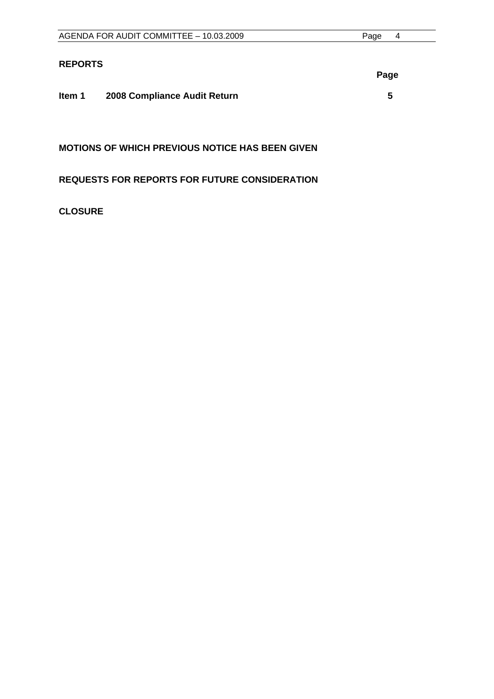|                | AGENDA FOR AUDIT COMMITTEE - 10.03.2009 | Page<br>4 |
|----------------|-----------------------------------------|-----------|
|                |                                         |           |
| <b>REPORTS</b> |                                         |           |
|                |                                         | Page      |
|                |                                         |           |
| Item 1         | 2008 Compliance Audit Return            | 5         |
|                |                                         |           |
|                |                                         |           |

**MOTIONS OF WHICH PREVIOUS NOTICE HAS BEEN GIVEN** 

**REQUESTS FOR REPORTS FOR FUTURE CONSIDERATION** 

## **CLOSURE**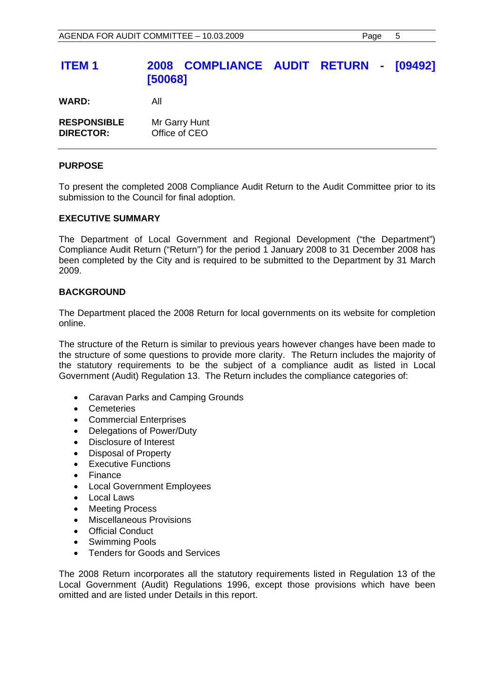## **ITEM 1 2008 COMPLIANCE AUDIT RETURN - [09492] [50068]**

**WARD:** All

| <b>RESPONSIBLE</b> | Mr Garry Hunt |
|--------------------|---------------|
| <b>DIRECTOR:</b>   | Office of CEO |

### **PURPOSE**

To present the completed 2008 Compliance Audit Return to the Audit Committee prior to its submission to the Council for final adoption.

### **EXECUTIVE SUMMARY**

The Department of Local Government and Regional Development ("the Department") Compliance Audit Return ("Return") for the period 1 January 2008 to 31 December 2008 has been completed by the City and is required to be submitted to the Department by 31 March 2009.

### **BACKGROUND**

The Department placed the 2008 Return for local governments on its website for completion online.

The structure of the Return is similar to previous years however changes have been made to the structure of some questions to provide more clarity. The Return includes the majority of the statutory requirements to be the subject of a compliance audit as listed in Local Government (Audit) Regulation 13. The Return includes the compliance categories of:

- Caravan Parks and Camping Grounds
- Cemeteries
- Commercial Enterprises
- Delegations of Power/Duty
- Disclosure of Interest
- Disposal of Property
- Executive Functions
- Finance
- Local Government Employees
- Local Laws
- Meeting Process
- Miscellaneous Provisions
- **Official Conduct**
- Swimming Pools
- Tenders for Goods and Services

The 2008 Return incorporates all the statutory requirements listed in Regulation 13 of the Local Government (Audit) Regulations 1996, except those provisions which have been omitted and are listed under Details in this report.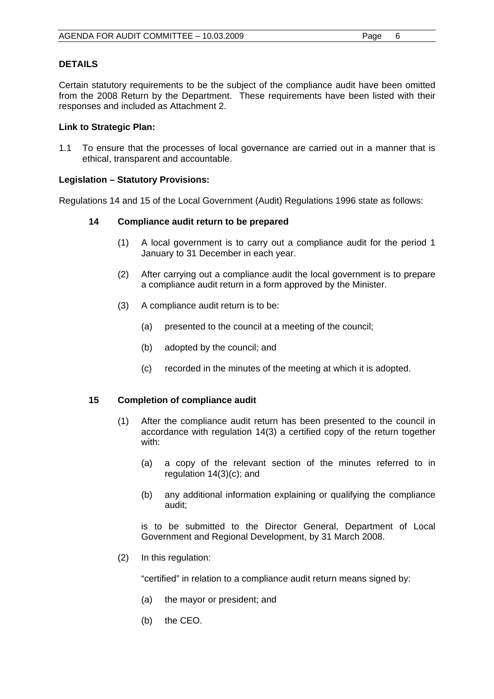## **DETAILS**

Certain statutory requirements to be the subject of the compliance audit have been omitted from the 2008 Return by the Department. These requirements have been listed with their responses and included as Attachment 2.

## **Link to Strategic Plan:**

1.1 To ensure that the processes of local governance are carried out in a manner that is ethical, transparent and accountable.

## **Legislation – Statutory Provisions:**

Regulations 14 and 15 of the Local Government (Audit) Regulations 1996 state as follows:

### **14 Compliance audit return to be prepared**

- (1) A local government is to carry out a compliance audit for the period 1 January to 31 December in each year.
- (2) After carrying out a compliance audit the local government is to prepare a compliance audit return in a form approved by the Minister.
- (3) A compliance audit return is to be:
	- (a) presented to the council at a meeting of the council;
	- (b) adopted by the council; and
	- (c) recorded in the minutes of the meeting at which it is adopted.

### **15 Completion of compliance audit**

- (1) After the compliance audit return has been presented to the council in accordance with regulation 14(3) a certified copy of the return together with:
	- (a) a copy of the relevant section of the minutes referred to in regulation 14(3)(c); and
	- (b) any additional information explaining or qualifying the compliance audit;

 is to be submitted to the Director General, Department of Local Government and Regional Development, by 31 March 2008.

(2) In this regulation:

"certified" in relation to a compliance audit return means signed by:

- (a) the mayor or president; and
- (b) the CEO.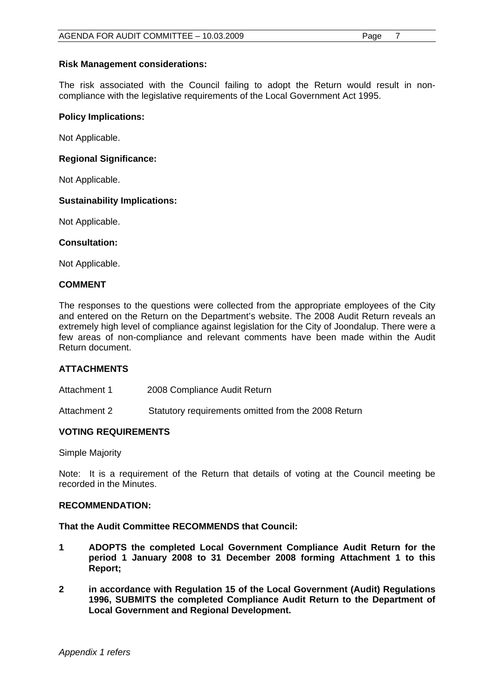## **Risk Management considerations:**

The risk associated with the Council failing to adopt the Return would result in noncompliance with the legislative requirements of the Local Government Act 1995.

### **Policy Implications:**

Not Applicable.

### **Regional Significance:**

Not Applicable.

### **Sustainability Implications:**

Not Applicable.

### **Consultation:**

Not Applicable.

### **COMMENT**

The responses to the questions were collected from the appropriate employees of the City and entered on the Return on the Department's website. The 2008 Audit Return reveals an extremely high level of compliance against legislation for the City of Joondalup. There were a few areas of non-compliance and relevant comments have been made within the Audit Return document.

## **ATTACHMENTS**

Attachment 1 2008 Compliance Audit Return

Attachment 2Statutory requirements omitted from the 2008 Return

## **VOTING REQUIREMENTS**

Simple Majority

Note: It is a requirement of the Return that details of voting at the Council meeting be recorded in the Minutes.

### **RECOMMENDATION:**

### **That the Audit Committee RECOMMENDS that Council:**

- **1 ADOPTS the completed Local Government Compliance Audit Return for the period 1 January 2008 to 31 December 2008 forming Attachment 1 to this Report;**
- **2 in accordance with Regulation 15 of the Local Government (Audit) Regulations 1996, SUBMITS the completed Compliance Audit Return to the Department of Local Government and Regional Development.**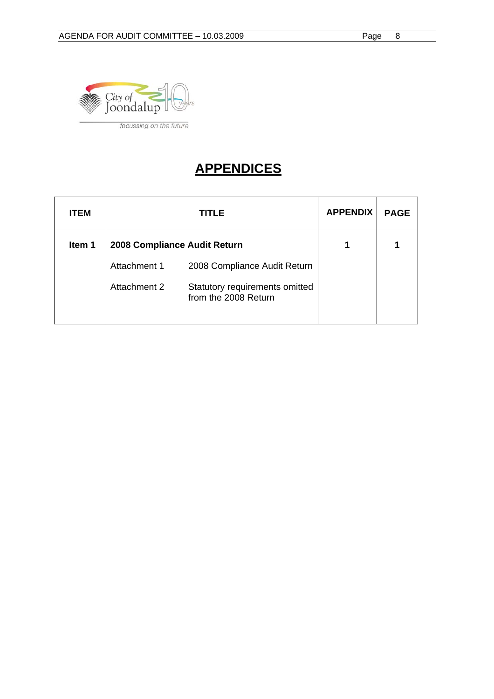

## **APPENDICES**

| <b>ITEM</b> |                              | TITLE                                                  | <b>APPENDIX</b> | <b>PAGE</b> |
|-------------|------------------------------|--------------------------------------------------------|-----------------|-------------|
| Item 1      | 2008 Compliance Audit Return | 1                                                      |                 |             |
|             | Attachment 1                 | 2008 Compliance Audit Return                           |                 |             |
|             | Attachment 2                 | Statutory requirements omitted<br>from the 2008 Return |                 |             |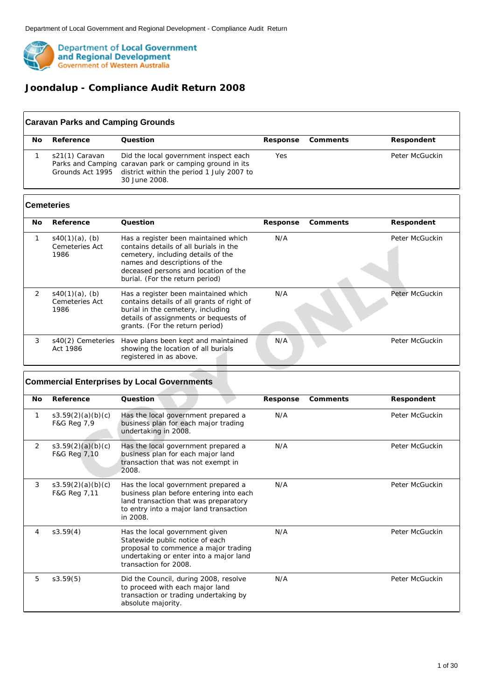

 $\lceil$ 

## **Joondalup - Compliance Audit Return 2008**

| No. | Reference                          | Ouestion                                                                                                                                                       | Response | Comments | Respondent     |
|-----|------------------------------------|----------------------------------------------------------------------------------------------------------------------------------------------------------------|----------|----------|----------------|
|     | s21(1) Caravan<br>Grounds Act 1995 | Did the local government inspect each<br>Parks and Camping caravan park or camping ground in its<br>district within the period 1 July 2007 to<br>30 June 2008. | Yes      |          | Peter McGuckin |

| No. | Reference                                   | Question                                                                                                                                                                                                                         | Response | Comments | Respondent     |
|-----|---------------------------------------------|----------------------------------------------------------------------------------------------------------------------------------------------------------------------------------------------------------------------------------|----------|----------|----------------|
|     | $s40(1)(a)$ , (b)<br>Cemeteries Act<br>1986 | Has a register been maintained which<br>contains details of all burials in the<br>cemetery, including details of the<br>names and descriptions of the<br>deceased persons and location of the<br>burial. (For the return period) | N/A      |          | Peter McGuckin |
| 2   | $s40(1)(a)$ , (b)<br>Cemeteries Act<br>1986 | Has a register been maintained which<br>contains details of all grants of right of<br>burial in the cemetery, including<br>details of assignments or bequests of<br>grants. (For the return period)                              | N/A      |          | Peter McGuckin |
| 3   | s40(2) Cemeteries<br>Act 1986               | Have plans been kept and maintained<br>showing the location of all burials<br>registered in as above.                                                                                                                            | N/A      |          | Peter McGuckin |

|           |                                   | <b>Commercial Enterprises by Local Governments</b>                                                                                                                            |          |          |                |
|-----------|-----------------------------------|-------------------------------------------------------------------------------------------------------------------------------------------------------------------------------|----------|----------|----------------|
| <b>No</b> | Reference                         | Question                                                                                                                                                                      | Response | Comments | Respondent     |
| 1         | s3.59(2)(a)(b)(c)<br>F&G Reg 7,9  | Has the local government prepared a<br>business plan for each major trading<br>undertaking in 2008.                                                                           | N/A      |          | Peter McGuckin |
| 2         | s3.59(2)(a)(b)(c)<br>F&G Reg 7,10 | Has the local government prepared a<br>business plan for each major land<br>transaction that was not exempt in<br>2008.                                                       | N/A      |          | Peter McGuckin |
| 3         | s3.59(2)(a)(b)(c)<br>F&G Reg 7,11 | Has the local government prepared a<br>business plan before entering into each<br>land transaction that was preparatory<br>to entry into a major land transaction<br>in 2008. | N/A      |          | Peter McGuckin |
| 4         | s3.59(4)                          | Has the local government given<br>Statewide public notice of each<br>proposal to commence a major trading<br>undertaking or enter into a major land<br>transaction for 2008.  | N/A      |          | Peter McGuckin |
| 5         | s3.59(5)                          | Did the Council, during 2008, resolve<br>to proceed with each major land<br>transaction or trading undertaking by<br>absolute majority.                                       | N/A      |          | Peter McGuckin |

٦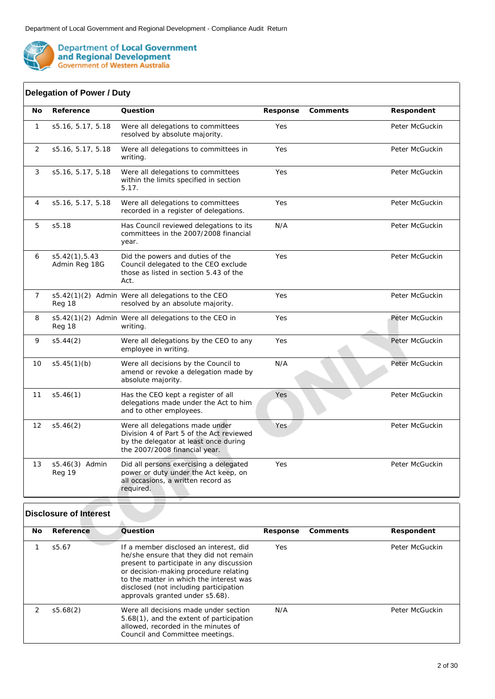

 $\int$ 

**Department of Local Government<br>and Regional Development<br>Government of Western Australia** 

| No             | Reference                       | Question                                                                                                                                              | Response | Comments | Respondent     |
|----------------|---------------------------------|-------------------------------------------------------------------------------------------------------------------------------------------------------|----------|----------|----------------|
| $\mathbf{1}$   | s5.16, 5.17, 5.18               | Were all delegations to committees<br>resolved by absolute majority.                                                                                  | Yes      |          | Peter McGuckin |
| 2              | s5.16, 5.17, 5.18               | Were all delegations to committees in<br>writing.                                                                                                     | Yes      |          | Peter McGuckin |
| 3              | s5.16, 5.17, 5.18               | Were all delegations to committees<br>within the limits specified in section<br>5.17.                                                                 | Yes      |          | Peter McGuckin |
| 4              | s5.16, 5.17, 5.18               | Were all delegations to committees<br>recorded in a register of delegations.                                                                          | Yes      |          | Peter McGuckin |
| 5              | s5.18                           | Has Council reviewed delegations to its<br>committees in the 2007/2008 financial<br>year.                                                             | N/A      |          | Peter McGuckin |
| 6              | s5.42(1), 5.43<br>Admin Reg 18G | Did the powers and duties of the<br>Council delegated to the CEO exclude<br>those as listed in section 5.43 of the<br>Act.                            | Yes      |          | Peter McGuckin |
| $\overline{7}$ | Reg 18                          | s5.42(1)(2) Admin Were all delegations to the CEO<br>resolved by an absolute majority.                                                                | Yes      |          | Peter McGuckin |
| 8              | Reg 18                          | s5.42(1)(2) Admin Were all delegations to the CEO in<br>writing.                                                                                      | Yes      |          | Peter McGuckin |
| 9              | s5.44(2)                        | Were all delegations by the CEO to any<br>employee in writing.                                                                                        | Yes      |          | Peter McGuckin |
| 10             | s5.45(1)(b)                     | Were all decisions by the Council to<br>amend or revoke a delegation made by<br>absolute majority.                                                    | N/A      |          | Peter McGuckin |
| 11             | s5.46(1)                        | Has the CEO kept a register of all<br>delegations made under the Act to him<br>and to other employees.                                                | Yes      |          | Peter McGuckin |
| 12             | s5.46(2)                        | Were all delegations made under<br>Division 4 of Part 5 of the Act reviewed<br>by the delegator at least once during<br>the 2007/2008 financial year. | Yes      |          | Peter McGuckin |
| 13             | s5.46(3) Admin<br>Reg 19        | Did all persons exercising a delegated<br>power or duty under the Act keep, on<br>all occasions, a written record as<br>required.                     | Yes      |          | Peter McGuckin |

| No. | Reference | Ouestion                                                                                                                                                                                                                                                                                      | Response | Comments | Respondent     |
|-----|-----------|-----------------------------------------------------------------------------------------------------------------------------------------------------------------------------------------------------------------------------------------------------------------------------------------------|----------|----------|----------------|
|     | s5.67     | If a member disclosed an interest, did<br>he/she ensure that they did not remain<br>present to participate in any discussion<br>or decision-making procedure relating<br>to the matter in which the interest was<br>disclosed (not including participation<br>approvals granted under s5.68). | Yes      |          | Peter McGuckin |
|     | s5.68(2)  | Were all decisions made under section<br>5.68(1), and the extent of participation<br>allowed, recorded in the minutes of<br>Council and Committee meetings.                                                                                                                                   | N/A      |          | Peter McGuckin |

٦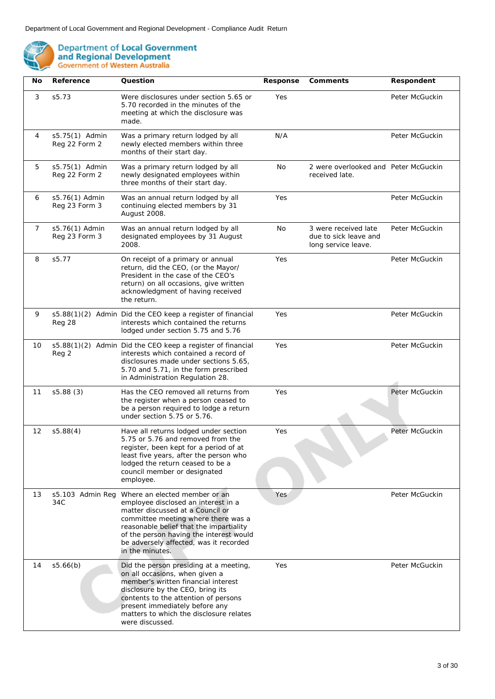

| No             | Reference                       | Question                                                                                                                                                                                                                                                                                           | Response | Comments                                                             | Respondent     |
|----------------|---------------------------------|----------------------------------------------------------------------------------------------------------------------------------------------------------------------------------------------------------------------------------------------------------------------------------------------------|----------|----------------------------------------------------------------------|----------------|
| 3              | s5.73                           | Were disclosures under section 5.65 or<br>5.70 recorded in the minutes of the<br>meeting at which the disclosure was<br>made.                                                                                                                                                                      | Yes      |                                                                      | Peter McGuckin |
| 4              | s5.75(1) Admin<br>Reg 22 Form 2 | Was a primary return lodged by all<br>newly elected members within three<br>months of their start day.                                                                                                                                                                                             | N/A      |                                                                      | Peter McGuckin |
| 5              | s5.75(1) Admin<br>Reg 22 Form 2 | Was a primary return lodged by all<br>newly designated employees within<br>three months of their start day.                                                                                                                                                                                        | No       | 2 were overlooked and Peter McGuckin<br>received late.               |                |
| 6              | s5.76(1) Admin<br>Reg 23 Form 3 | Was an annual return lodged by all<br>continuing elected members by 31<br>August 2008.                                                                                                                                                                                                             | Yes      |                                                                      | Peter McGuckin |
| $\overline{7}$ | s5.76(1) Admin<br>Reg 23 Form 3 | Was an annual return lodged by all<br>designated employees by 31 August<br>2008.                                                                                                                                                                                                                   | No       | 3 were received late<br>due to sick leave and<br>long service leave. | Peter McGuckin |
| 8              | s5.77                           | On receipt of a primary or annual<br>return, did the CEO, (or the Mayor/<br>President in the case of the CEO's<br>return) on all occasions, give written<br>acknowledgment of having received<br>the return.                                                                                       | Yes      |                                                                      | Peter McGuckin |
| 9              | Reg 28                          | s5.88(1)(2) Admin Did the CEO keep a register of financial<br>interests which contained the returns<br>lodged under section 5.75 and 5.76                                                                                                                                                          | Yes      |                                                                      | Peter McGuckin |
| 10             | Reg 2                           | s5.88(1)(2) Admin Did the CEO keep a register of financial<br>interests which contained a record of<br>disclosures made under sections 5.65,<br>5.70 and 5.71, in the form prescribed<br>in Administration Regulation 28.                                                                          | Yes      |                                                                      | Peter McGuckin |
| 11             | s5.88(3)                        | Has the CEO removed all returns from<br>the register when a person ceased to<br>be a person required to lodge a return<br>under section 5.75 or 5.76.                                                                                                                                              | Yes      |                                                                      | Peter McGuckin |
| 12             | s5.88(4)                        | Have all returns lodged under section<br>5.75 or 5.76 and removed from the<br>register, been kept for a period of at<br>least five years, after the person who<br>lodged the return ceased to be a<br>council member or designated<br>employee.                                                    | Yes      |                                                                      | Peter McGuckin |
| 13             | s5.103 Admin Reg<br>34C         | Where an elected member or an<br>employee disclosed an interest in a<br>matter discussed at a Council or<br>committee meeting where there was a<br>reasonable belief that the impartiality<br>of the person having the interest would<br>be adversely affected, was it recorded<br>in the minutes. | Yes      |                                                                      | Peter McGuckin |
| 14             | s5.66(b)                        | Did the person presiding at a meeting,<br>on all occasions, when given a<br>member's written financial interest<br>disclosure by the CEO, bring its<br>contents to the attention of persons<br>present immediately before any<br>matters to which the disclosure relates<br>were discussed.        | Yes      |                                                                      | Peter McGuckin |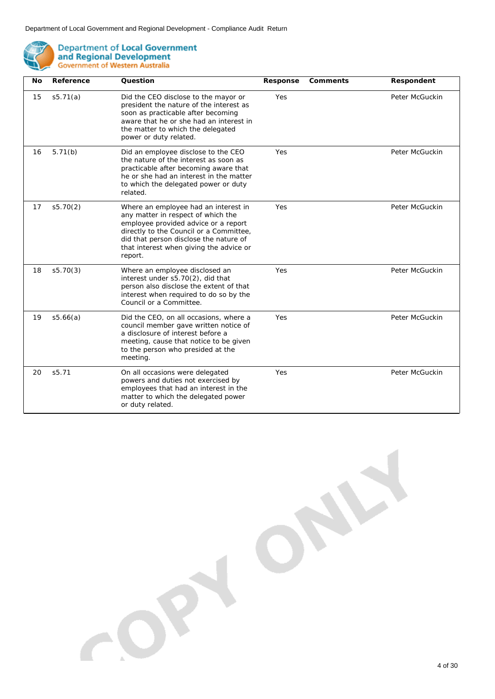

| No | Reference | Question                                                                                                                                                                                                                                                      | Response | Comments | Respondent     |
|----|-----------|---------------------------------------------------------------------------------------------------------------------------------------------------------------------------------------------------------------------------------------------------------------|----------|----------|----------------|
| 15 | s5.71(a)  | Did the CEO disclose to the mayor or<br>president the nature of the interest as<br>soon as practicable after becoming<br>aware that he or she had an interest in<br>the matter to which the delegated<br>power or duty related.                               | Yes      |          | Peter McGuckin |
| 16 | 5.71(b)   | Did an employee disclose to the CEO<br>the nature of the interest as soon as<br>practicable after becoming aware that<br>he or she had an interest in the matter<br>to which the delegated power or duty<br>related.                                          | Yes      |          | Peter McGuckin |
| 17 | s5.70(2)  | Where an employee had an interest in<br>any matter in respect of which the<br>employee provided advice or a report<br>directly to the Council or a Committee,<br>did that person disclose the nature of<br>that interest when giving the advice or<br>report. | Yes      |          | Peter McGuckin |
| 18 | s5.70(3)  | Where an employee disclosed an<br>interest under s5.70(2), did that<br>person also disclose the extent of that<br>interest when required to do so by the<br>Council or a Committee.                                                                           | Yes      |          | Peter McGuckin |
| 19 | s5.66(a)  | Did the CEO, on all occasions, where a<br>council member gave written notice of<br>a disclosure of interest before a<br>meeting, cause that notice to be given<br>to the person who presided at the<br>meeting.                                               | Yes      |          | Peter McGuckin |
| 20 | s5.71     | On all occasions were delegated<br>powers and duties not exercised by<br>employees that had an interest in the<br>matter to which the delegated power<br>or duty related.                                                                                     | Yes      |          | Peter McGuckin |

O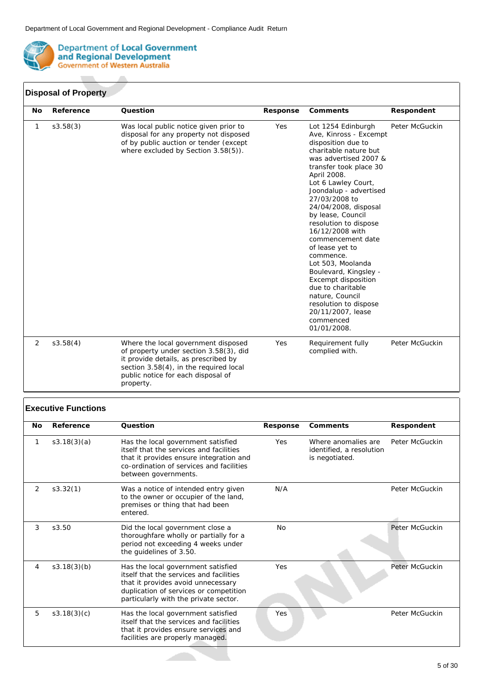

### **Disposal of Property**

| No | Reference | Question                                                                                                                                                                                                           | Response | Comments                                                                                                                                                                                                                                                                                                                                                                                                                                                                                                                                                             | Respondent     |
|----|-----------|--------------------------------------------------------------------------------------------------------------------------------------------------------------------------------------------------------------------|----------|----------------------------------------------------------------------------------------------------------------------------------------------------------------------------------------------------------------------------------------------------------------------------------------------------------------------------------------------------------------------------------------------------------------------------------------------------------------------------------------------------------------------------------------------------------------------|----------------|
| 1  | s3.58(3)  | Was local public notice given prior to<br>disposal for any property not disposed<br>of by public auction or tender (except<br>where excluded by Section 3.58(5)).                                                  | Yes      | Lot 1254 Edinburgh<br>Ave, Kinross - Excempt<br>disposition due to<br>charitable nature but<br>was advertised 2007 &<br>transfer took place 30<br>April 2008.<br>Lot 6 Lawley Court,<br>Joondalup - advertised<br>27/03/2008 to<br>24/04/2008, disposal<br>by lease, Council<br>resolution to dispose<br>16/12/2008 with<br>commencement date<br>of lease yet to<br>commence.<br>Lot 503, Moolanda<br>Boulevard, Kingsley -<br>Excempt disposition<br>due to charitable<br>nature, Council<br>resolution to dispose<br>20/11/2007, lease<br>commenced<br>01/01/2008. | Peter McGuckin |
| 2  | s3.58(4)  | Where the local government disposed<br>of property under section 3.58(3), did<br>it provide details, as prescribed by<br>section 3.58(4), in the required local<br>public notice for each disposal of<br>property. | Yes      | Requirement fully<br>complied with.                                                                                                                                                                                                                                                                                                                                                                                                                                                                                                                                  | Peter McGuckin |

### **Executive Functions**

| No | Reference   | Question                                                                                                                                                                                               | Response  | Comments                                                          | Respondent     |
|----|-------------|--------------------------------------------------------------------------------------------------------------------------------------------------------------------------------------------------------|-----------|-------------------------------------------------------------------|----------------|
| 1  | s3.18(3)(a) | Has the local government satisfied<br>itself that the services and facilities<br>that it provides ensure integration and<br>co-ordination of services and facilities<br>between governments.           | Yes       | Where anomalies are<br>identified, a resolution<br>is negotiated. | Peter McGuckin |
| 2  | s3.32(1)    | Was a notice of intended entry given<br>to the owner or occupier of the land,<br>premises or thing that had been<br>entered.                                                                           | N/A       |                                                                   | Peter McGuckin |
| 3  | s3.50       | Did the local government close a<br>thoroughfare wholly or partially for a<br>period not exceeding 4 weeks under<br>the guidelines of 3.50.                                                            | <b>No</b> |                                                                   | Peter McGuckin |
| 4  | s3.18(3)(b) | Has the local government satisfied<br>itself that the services and facilities<br>that it provides avoid unnecessary<br>duplication of services or competition<br>particularly with the private sector. | Yes       |                                                                   | Peter McGuckin |
| 5  | s3.18(3)(c) | Has the local government satisfied<br>itself that the services and facilities<br>that it provides ensure services and<br>facilities are properly managed.                                              | Yes       |                                                                   | Peter McGuckin |

**All De**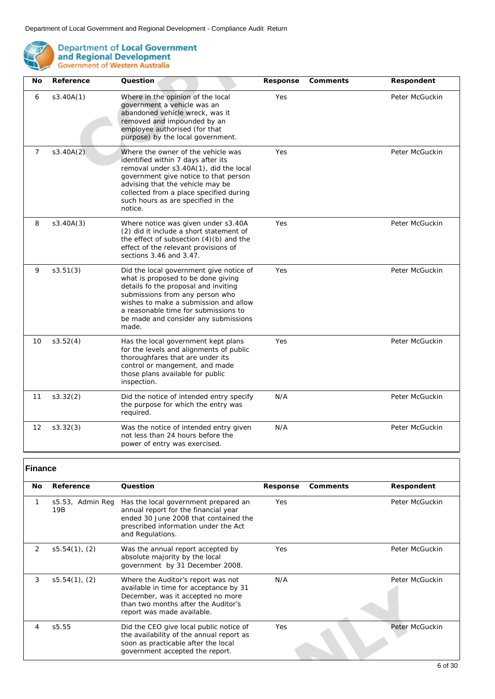

| No             | Reference | Question                                                                                                                                                                                                                                                                                    | Response | Comments | Respondent     |
|----------------|-----------|---------------------------------------------------------------------------------------------------------------------------------------------------------------------------------------------------------------------------------------------------------------------------------------------|----------|----------|----------------|
| 6              | s3.40A(1) | Where in the opinion of the local<br>government a vehicle was an<br>abandoned vehicle wreck, was it<br>removed and impounded by an<br>employee authorised (for that<br>purpose) by the local government.                                                                                    | Yes      |          | Peter McGuckin |
| $\overline{7}$ | s3.40A(2) | Where the owner of the vehicle was<br>identified within 7 days after its<br>removal under s3.40A(1), did the local<br>government give notice to that person<br>advising that the vehicle may be<br>collected from a place specified during<br>such hours as are specified in the<br>notice. | Yes      |          | Peter McGuckin |
| 8              | s3.40A(3) | Where notice was given under s3.40A<br>(2) did it include a short statement of<br>the effect of subsection $(4)(b)$ and the<br>effect of the relevant provisions of<br>sections 3.46 and 3.47.                                                                                              | Yes      |          | Peter McGuckin |
| 9              | s3.51(3)  | Did the local government give notice of<br>what is proposed to be done giving<br>details fo the proposal and inviting<br>submissions from any person who<br>wishes to make a submission and allow<br>a reasonable time for submissions to<br>be made and consider any submissions<br>made.  | Yes      |          | Peter McGuckin |
| 10             | s3.52(4)  | Has the local government kept plans<br>for the levels and alignments of public<br>thoroughfares that are under its<br>control or mangement, and made<br>those plans available for public<br>inspection.                                                                                     | Yes      |          | Peter McGuckin |
| 11             | s3.32(2)  | Did the notice of intended entry specify<br>the purpose for which the entry was<br>required.                                                                                                                                                                                                | N/A      |          | Peter McGuckin |
| 12             | s3.32(3)  | Was the notice of intended entry given<br>not less than 24 hours before the<br>power of entry was exercised.                                                                                                                                                                                | N/A      |          | Peter McGuckin |

## **Finance**

| No. | Reference               | Question                                                                                                                                                                               | Response | Comments | Respondent     |
|-----|-------------------------|----------------------------------------------------------------------------------------------------------------------------------------------------------------------------------------|----------|----------|----------------|
|     | s5.53, Admin Reg<br>19B | Has the local government prepared an<br>annual report for the financial year<br>ended 30 June 2008 that contained the<br>prescribed information under the Act<br>and Regulations.      | Yes      |          | Peter McGuckin |
| 2   | $s5.54(1)$ , (2)        | Was the annual report accepted by<br>absolute majority by the local<br>government by 31 December 2008.                                                                                 | Yes      |          | Peter McGuckin |
| 3   | $s5.54(1)$ , (2)        | Where the Auditor's report was not<br>available in time for acceptance by 31<br>December, was it accepted no more<br>than two months after the Auditor's<br>report was made available. | N/A      |          | Peter McGuckin |
| 4   | s5.55                   | Did the CEO give local public notice of<br>the availability of the annual report as<br>soon as practicable after the local<br>government accepted the report.                          | Yes      |          | Peter McGuckin |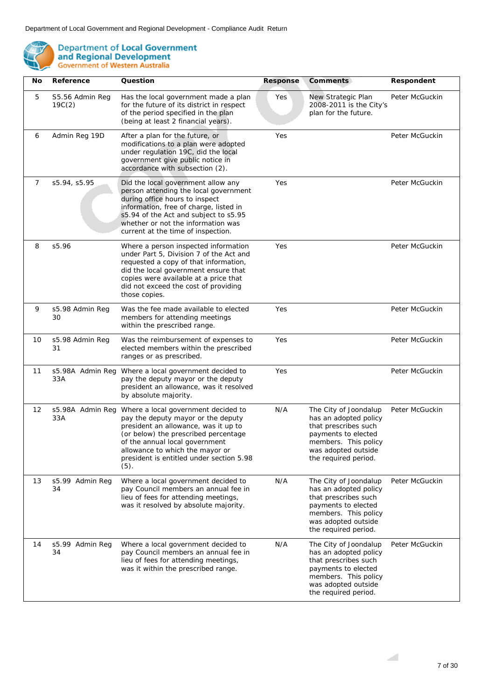

| No             | Reference                 | Question                                                                                                                                                                                                                                                                           | Response | Comments                                                                                                                                                             | Respondent     |
|----------------|---------------------------|------------------------------------------------------------------------------------------------------------------------------------------------------------------------------------------------------------------------------------------------------------------------------------|----------|----------------------------------------------------------------------------------------------------------------------------------------------------------------------|----------------|
| 5              | S5.56 Admin Reg<br>19C(2) | Has the local government made a plan<br>for the future of its district in respect<br>of the period specified in the plan<br>(being at least 2 financial years).                                                                                                                    | Yes      | New Strategic Plan<br>2008-2011 is the City's<br>plan for the future.                                                                                                | Peter McGuckin |
| 6              | Admin Reg 19D             | After a plan for the future, or<br>modifications to a plan were adopted<br>under regulation 19C, did the local<br>government give public notice in<br>accordance with subsection (2).                                                                                              | Yes      |                                                                                                                                                                      | Peter McGuckin |
| $\overline{7}$ | s5.94, s5.95              | Did the local government allow any<br>person attending the local government<br>during office hours to inspect<br>information, free of charge, listed in<br>s5.94 of the Act and subject to s5.95<br>whether or not the information was<br>current at the time of inspection.       | Yes      |                                                                                                                                                                      | Peter McGuckin |
| 8              | s5.96                     | Where a person inspected information<br>under Part 5, Division 7 of the Act and<br>requested a copy of that information,<br>did the local government ensure that<br>copies were available at a price that<br>did not exceed the cost of providing<br>those copies.                 | Yes      |                                                                                                                                                                      | Peter McGuckin |
| 9              | s5.98 Admin Reg<br>30     | Was the fee made available to elected<br>members for attending meetings<br>within the prescribed range.                                                                                                                                                                            | Yes      |                                                                                                                                                                      | Peter McGuckin |
| 10             | s5.98 Admin Reg<br>31     | Was the reimbursement of expenses to<br>elected members within the prescribed<br>ranges or as prescribed.                                                                                                                                                                          | Yes      |                                                                                                                                                                      | Peter McGuckin |
| 11             | s5.98A Admin Reg<br>33A   | Where a local government decided to<br>pay the deputy mayor or the deputy<br>president an allowance, was it resolved<br>by absolute majority.                                                                                                                                      | Yes      |                                                                                                                                                                      | Peter McGuckin |
| 12             | s5.98A Admin Reg<br>33A   | Where a local government decided to<br>pay the deputy mayor or the deputy<br>president an allowance, was it up to<br>(or below) the prescribed percentage<br>of the annual local government<br>allowance to which the mayor or<br>president is entitled under section 5.98<br>(5). | N/A      | The City of Joondalup<br>has an adopted policy<br>that prescribes such<br>payments to elected<br>members. This policy<br>was adopted outside<br>the required period. | Peter McGuckin |
| 13             | s5.99 Admin Reg<br>34     | Where a local government decided to<br>pay Council members an annual fee in<br>lieu of fees for attending meetings,<br>was it resolved by absolute majority.                                                                                                                       | N/A      | The City of Joondalup<br>has an adopted policy<br>that prescribes such<br>payments to elected<br>members. This policy<br>was adopted outside<br>the required period. | Peter McGuckin |
| 14             | s5.99 Admin Reg<br>34     | Where a local government decided to<br>pay Council members an annual fee in<br>lieu of fees for attending meetings,<br>was it within the prescribed range.                                                                                                                         | N/A      | The City of Joondalup<br>has an adopted policy<br>that prescribes such<br>payments to elected<br>members. This policy<br>was adopted outside<br>the required period. | Peter McGuckin |

 $\geq$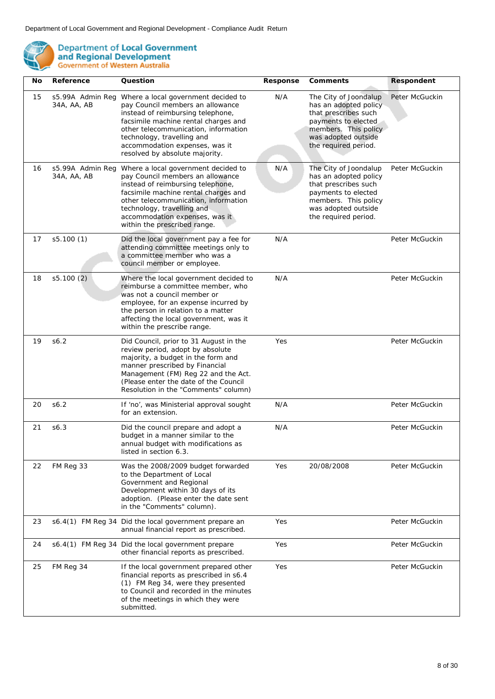

| No | Reference                       | Question                                                                                                                                                                                                                                                                                       | Response | Comments                                                                                                                                                             | Respondent     |
|----|---------------------------------|------------------------------------------------------------------------------------------------------------------------------------------------------------------------------------------------------------------------------------------------------------------------------------------------|----------|----------------------------------------------------------------------------------------------------------------------------------------------------------------------|----------------|
| 15 | s5.99A Admin Reg<br>34A, AA, AB | Where a local government decided to<br>pay Council members an allowance<br>instead of reimbursing telephone,<br>facsimile machine rental charges and<br>other telecommunication, information<br>technology, travelling and<br>accommodation expenses, was it<br>resolved by absolute majority. | N/A      | The City of Joondalup<br>has an adopted policy<br>that prescribes such<br>payments to elected<br>members. This policy<br>was adopted outside<br>the required period. | Peter McGuckin |
| 16 | s5.99A Admin Reg<br>34A, AA, AB | Where a local government decided to<br>pay Council members an allowance<br>instead of reimbursing telephone,<br>facsimile machine rental charges and<br>other telecommunication, information<br>technology, travelling and<br>accommodation expenses, was it<br>within the prescribed range.   | N/A      | The City of Joondalup<br>has an adopted policy<br>that prescribes such<br>payments to elected<br>members. This policy<br>was adopted outside<br>the required period. | Peter McGuckin |
| 17 | s5.100 (1)                      | Did the local government pay a fee for<br>attending committee meetings only to<br>a committee member who was a<br>council member or employee.                                                                                                                                                  | N/A      |                                                                                                                                                                      | Peter McGuckin |
| 18 | s5.100(2)                       | Where the local government decided to<br>reimburse a committee member, who<br>was not a council member or<br>employee, for an expense incurred by<br>the person in relation to a matter<br>affecting the local government, was it<br>within the prescribe range.                               | N/A      |                                                                                                                                                                      | Peter McGuckin |
| 19 | s6.2                            | Did Council, prior to 31 August in the<br>review period, adopt by absolute<br>majority, a budget in the form and<br>manner prescribed by Financial<br>Management (FM) Reg 22 and the Act.<br>(Please enter the date of the Council<br>Resolution in the "Comments" column)                     | Yes      |                                                                                                                                                                      | Peter McGuckin |
| 20 | s6.2                            | If 'no', was Ministerial approval sought<br>for an extension.                                                                                                                                                                                                                                  | N/A      |                                                                                                                                                                      | Peter McGuckin |
| 21 | s6.3                            | Did the council prepare and adopt a<br>budget in a manner similar to the<br>annual budget with modifications as<br>listed in section 6.3.                                                                                                                                                      | N/A      |                                                                                                                                                                      | Peter McGuckin |
| 22 | FM Reg 33                       | Was the 2008/2009 budget forwarded<br>to the Department of Local<br>Government and Regional<br>Development within 30 days of its<br>adoption. (Please enter the date sent<br>in the "Comments" column).                                                                                        | Yes      | 20/08/2008                                                                                                                                                           | Peter McGuckin |
| 23 |                                 | s6.4(1) FM Reg 34 Did the local government prepare an<br>annual financial report as prescribed.                                                                                                                                                                                                | Yes      |                                                                                                                                                                      | Peter McGuckin |
| 24 |                                 | s6.4(1) FM Reg 34 Did the local government prepare<br>other financial reports as prescribed.                                                                                                                                                                                                   | Yes      |                                                                                                                                                                      | Peter McGuckin |
| 25 | FM Reg 34                       | If the local government prepared other<br>financial reports as prescribed in s6.4<br>(1) FM Reg 34, were they presented<br>to Council and recorded in the minutes<br>of the meetings in which they were<br>submitted.                                                                          | Yes      |                                                                                                                                                                      | Peter McGuckin |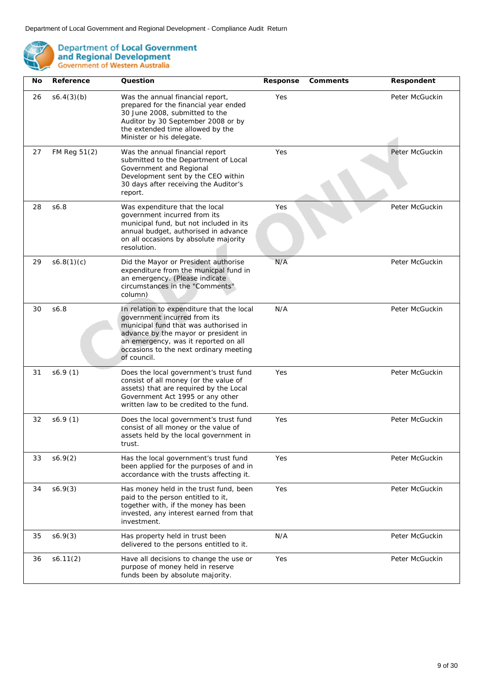

| No | Reference    | Question                                                                                                                                                                                                                                                    | Response | Comments | Respondent     |
|----|--------------|-------------------------------------------------------------------------------------------------------------------------------------------------------------------------------------------------------------------------------------------------------------|----------|----------|----------------|
| 26 | s6.4(3)(b)   | Was the annual financial report,<br>prepared for the financial year ended<br>30 June 2008, submitted to the<br>Auditor by 30 September 2008 or by<br>the extended time allowed by the<br>Minister or his delegate.                                          | Yes      |          | Peter McGuckin |
| 27 | FM Reg 51(2) | Was the annual financial report<br>submitted to the Department of Local<br>Government and Regional<br>Development sent by the CEO within<br>30 days after receiving the Auditor's<br>report.                                                                | Yes      |          | Peter McGuckin |
| 28 | \$6.8        | Was expenditure that the local<br>government incurred from its<br>municipal fund, but not included in its<br>annual budget, authorised in advance<br>on all occasions by absolute majority<br>resolution.                                                   | Yes      |          | Peter McGuckin |
| 29 | s6.8(1)(c)   | Did the Mayor or President authorise<br>expenditure from the municpal fund in<br>an emergency. (Please indicate<br>circumstances in the "Comments"<br>column)                                                                                               | N/A      |          | Peter McGuckin |
| 30 | S6.8         | In relation to expenditure that the local<br>government incurred from its<br>municipal fund that was authorised in<br>advance by the mayor or president in<br>an emergency, was it reported on all<br>occasions to the next ordinary meeting<br>of council. | N/A      |          | Peter McGuckin |
| 31 | s6.9(1)      | Does the local government's trust fund<br>consist of all money (or the value of<br>assets) that are required by the Local<br>Government Act 1995 or any other<br>written law to be credited to the fund.                                                    | Yes      |          | Peter McGuckin |
| 32 | s6.9(1)      | Does the local government's trust fund<br>consist of all money or the value of<br>assets held by the local government in<br>trust.                                                                                                                          | Yes      |          | Peter McGuckin |
| 33 | s6.9(2)      | Has the local government's trust fund<br>been applied for the purposes of and in<br>accordance with the trusts affecting it.                                                                                                                                | Yes      |          | Peter McGuckin |
| 34 | s6.9(3)      | Has money held in the trust fund, been<br>paid to the person entitled to it,<br>together with, if the money has been<br>invested, any interest earned from that<br>investment.                                                                              | Yes      |          | Peter McGuckin |
| 35 | s6.9(3)      | Has property held in trust been<br>delivered to the persons entitled to it.                                                                                                                                                                                 | N/A      |          | Peter McGuckin |
| 36 | s6.11(2)     | Have all decisions to change the use or<br>purpose of money held in reserve<br>funds been by absolute majority.                                                                                                                                             | Yes      |          | Peter McGuckin |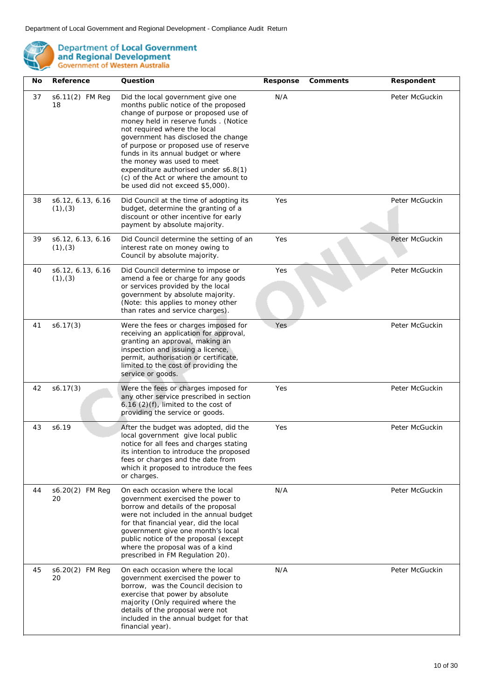

| No | Reference                          | Question                                                                                                                                                                                                                                                                                                                                                                                                                                                            | Response | Comments | Respondent     |
|----|------------------------------------|---------------------------------------------------------------------------------------------------------------------------------------------------------------------------------------------------------------------------------------------------------------------------------------------------------------------------------------------------------------------------------------------------------------------------------------------------------------------|----------|----------|----------------|
| 37 | s6.11(2) FM Reg<br>18              | Did the local government give one<br>months public notice of the proposed<br>change of purpose or proposed use of<br>money held in reserve funds. (Notice<br>not required where the local<br>government has disclosed the change<br>of purpose or proposed use of reserve<br>funds in its annual budget or where<br>the money was used to meet<br>expenditure authorised under s6.8(1)<br>(c) of the Act or where the amount to<br>be used did not exceed \$5,000). | N/A      |          | Peter McGuckin |
| 38 | s6.12, 6.13, 6.16<br>$(1)$ , $(3)$ | Did Council at the time of adopting its<br>budget, determine the granting of a<br>discount or other incentive for early<br>payment by absolute majority.                                                                                                                                                                                                                                                                                                            | Yes      |          | Peter McGuckin |
| 39 | s6.12, 6.13, 6.16<br>$(1)$ , $(3)$ | Did Council determine the setting of an<br>interest rate on money owing to<br>Council by absolute majority.                                                                                                                                                                                                                                                                                                                                                         | Yes      |          | Peter McGuckin |
| 40 | s6.12, 6.13, 6.16<br>$(1)$ , $(3)$ | Did Council determine to impose or<br>amend a fee or charge for any goods<br>or services provided by the local<br>government by absolute majority.<br>(Note: this applies to money other<br>than rates and service charges).                                                                                                                                                                                                                                        | Yes      |          | Peter McGuckin |
| 41 | s6.17(3)                           | Were the fees or charges imposed for<br>receiving an application for approval,<br>granting an approval, making an<br>inspection and issuing a licence,<br>permit, authorisation or certificate,<br>limited to the cost of providing the<br>service or goods.                                                                                                                                                                                                        | Yes      |          | Peter McGuckin |
| 42 | s6.17(3)                           | Were the fees or charges imposed for<br>any other service prescribed in section<br>$6.16$ (2)(f), limited to the cost of<br>providing the service or goods.                                                                                                                                                                                                                                                                                                         | Yes      |          | Peter McGuckin |
| 43 | s6.19                              | After the budget was adopted, did the<br>local government give local public<br>notice for all fees and charges stating<br>its intention to introduce the proposed<br>fees or charges and the date from<br>which it proposed to introduce the fees<br>or charges.                                                                                                                                                                                                    | Yes      |          | Peter McGuckin |
| 44 | s6.20(2) FM Reg<br>20              | On each occasion where the local<br>government exercised the power to<br>borrow and details of the proposal<br>were not included in the annual budget<br>for that financial year, did the local<br>government give one month's local<br>public notice of the proposal (except<br>where the proposal was of a kind<br>prescribed in FM Regulation 20).                                                                                                               | N/A      |          | Peter McGuckin |
| 45 | s6.20(2) FM Reg<br>20              | On each occasion where the local<br>government exercised the power to<br>borrow, was the Council decision to<br>exercise that power by absolute<br>majority (Only required where the<br>details of the proposal were not<br>included in the annual budget for that<br>financial year).                                                                                                                                                                              | N/A      |          | Peter McGuckin |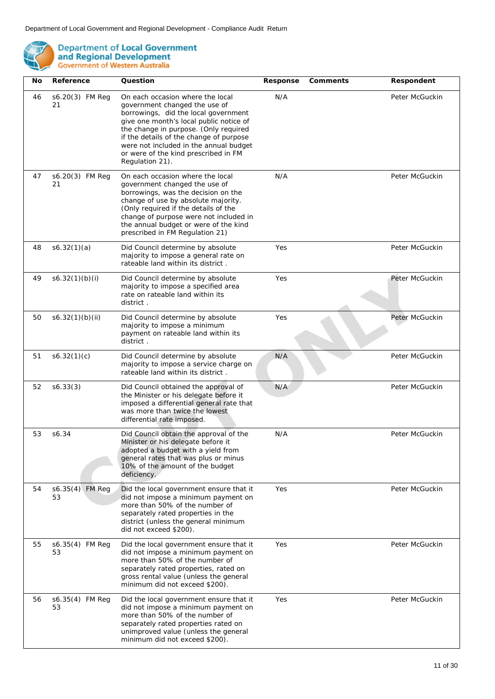

| No | Reference             | Question                                                                                                                                                                                                                                                                                                                                      | Response | Comments | Respondent     |
|----|-----------------------|-----------------------------------------------------------------------------------------------------------------------------------------------------------------------------------------------------------------------------------------------------------------------------------------------------------------------------------------------|----------|----------|----------------|
| 46 | s6.20(3) FM Reg<br>21 | On each occasion where the local<br>government changed the use of<br>borrowings, did the local government<br>give one month's local public notice of<br>the change in purpose. (Only required<br>if the details of the change of purpose<br>were not included in the annual budget<br>or were of the kind prescribed in FM<br>Regulation 21). | N/A      |          | Peter McGuckin |
| 47 | s6.20(3) FM Reg<br>21 | On each occasion where the local<br>government changed the use of<br>borrowings, was the decision on the<br>change of use by absolute majority.<br>(Only required if the details of the<br>change of purpose were not included in<br>the annual budget or were of the kind<br>prescribed in FM Regulation 21)                                 | N/A      |          | Peter McGuckin |
| 48 | s6.32(1)(a)           | Did Council determine by absolute<br>majority to impose a general rate on<br>rateable land within its district.                                                                                                                                                                                                                               | Yes      |          | Peter McGuckin |
| 49 | s6.32(1)(b)(i)        | Did Council determine by absolute<br>majority to impose a specified area<br>rate on rateable land within its<br>district.                                                                                                                                                                                                                     | Yes      |          | Peter McGuckin |
| 50 | s6.32(1)(b)(ii)       | Did Council determine by absolute<br>majority to impose a minimum<br>payment on rateable land within its<br>district.                                                                                                                                                                                                                         | Yes      |          | Peter McGuckin |
| 51 | s6.32(1)(c)           | Did Council determine by absolute<br>majority to impose a service charge on<br>rateable land within its district.                                                                                                                                                                                                                             | N/A      |          | Peter McGuckin |
| 52 | s6.33(3)              | Did Council obtained the approval of<br>the Minister or his delegate before it<br>imposed a differential general rate that<br>was more than twice the lowest<br>differential rate imposed.                                                                                                                                                    | N/A      |          | Peter McGuckin |
| 53 | s6.34                 | Did Council obtain the approval of the<br>Minister or his delegate before it<br>adopted a budget with a yield from<br>general rates that was plus or minus<br>10% of the amount of the budget<br>deficiency.                                                                                                                                  | N/A      |          | Peter McGuckin |
| 54 | s6.35(4) FM Reg<br>53 | Did the local government ensure that it<br>did not impose a minimum payment on<br>more than 50% of the number of<br>separately rated properties in the<br>district (unless the general minimum<br>did not exceed \$200).                                                                                                                      | Yes      |          | Peter McGuckin |
| 55 | s6.35(4) FM Reg<br>53 | Did the local government ensure that it<br>did not impose a minimum payment on<br>more than 50% of the number of<br>separately rated properties, rated on<br>gross rental value (unless the general<br>minimum did not exceed \$200).                                                                                                         | Yes      |          | Peter McGuckin |
| 56 | s6.35(4) FM Reg<br>53 | Did the local government ensure that it<br>did not impose a minimum payment on<br>more than 50% of the number of<br>separately rated properties rated on<br>unimproved value (unless the general<br>minimum did not exceed \$200).                                                                                                            | Yes      |          | Peter McGuckin |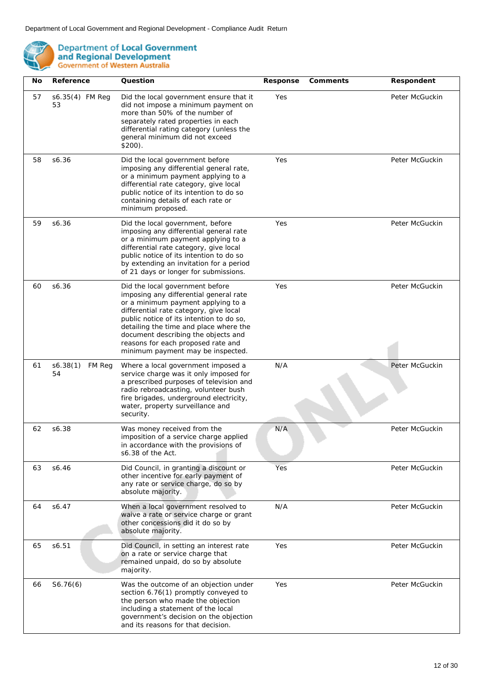

| No. | Reference                | Question                                                                                                                                                                                                                                                                                                                                                          | Response | Comments | Respondent     |
|-----|--------------------------|-------------------------------------------------------------------------------------------------------------------------------------------------------------------------------------------------------------------------------------------------------------------------------------------------------------------------------------------------------------------|----------|----------|----------------|
| 57  | s6.35(4) FM Reg<br>53    | Did the local government ensure that it<br>did not impose a minimum payment on<br>more than 50% of the number of<br>separately rated properties in each<br>differential rating category (unless the<br>general minimum did not exceed<br>$$200$ ).                                                                                                                | Yes      |          | Peter McGuckin |
| 58  | s6.36                    | Did the local government before<br>imposing any differential general rate,<br>or a minimum payment applying to a<br>differential rate category, give local<br>public notice of its intention to do so<br>containing details of each rate or<br>minimum proposed.                                                                                                  | Yes      |          | Peter McGuckin |
| 59  | s6.36                    | Did the local government, before<br>imposing any differential general rate<br>or a minimum payment applying to a<br>differential rate category, give local<br>public notice of its intention to do so<br>by extending an invitation for a period<br>of 21 days or longer for submissions.                                                                         | Yes      |          | Peter McGuckin |
| 60  | s6.36                    | Did the local government before<br>imposing any differential general rate<br>or a minimum payment applying to a<br>differential rate category, give local<br>public notice of its intention to do so,<br>detailing the time and place where the<br>document describing the objects and<br>reasons for each proposed rate and<br>minimum payment may be inspected. | Yes      |          | Peter McGuckin |
| 61  | s6.38(1)<br>FM Reg<br>54 | Where a local government imposed a<br>service charge was it only imposed for<br>a prescribed purposes of television and<br>radio rebroadcasting, volunteer bush<br>fire brigades, underground electricity,<br>water, property surveillance and<br>security.                                                                                                       | N/A      |          | Peter McGuckin |
| 62  | s6.38                    | Was money received from the<br>imposition of a service charge applied<br>in accordance with the provisions of<br>s6.38 of the Act.                                                                                                                                                                                                                                | N/A      |          | Peter McGuckin |
| 63  | s6.46                    | Did Council, in granting a discount or<br>other incentive for early payment of<br>any rate or service charge, do so by<br>absolute majority.                                                                                                                                                                                                                      | Yes      |          | Peter McGuckin |
| 64  | s6.47                    | When a local government resolved to<br>waive a rate or service charge or grant<br>other concessions did it do so by<br>absolute majority.                                                                                                                                                                                                                         | N/A      |          | Peter McGuckin |
| 65  | s6.51                    | Did Council, in setting an interest rate<br>on a rate or service charge that<br>remained unpaid, do so by absolute<br>majority.                                                                                                                                                                                                                                   | Yes      |          | Peter McGuckin |
| 66  | S6.76(6)                 | Was the outcome of an objection under<br>section 6.76(1) promptly conveyed to<br>the person who made the objection<br>including a statement of the local<br>government's decision on the objection<br>and its reasons for that decision.                                                                                                                          | Yes      |          | Peter McGuckin |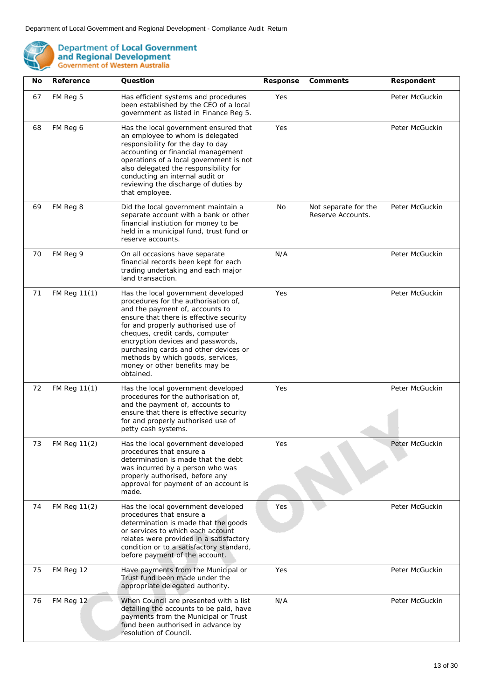

| No | Reference    | Question                                                                                                                                                                                                                                                                                                                                                                                            | Response | Comments                                  | Respondent     |
|----|--------------|-----------------------------------------------------------------------------------------------------------------------------------------------------------------------------------------------------------------------------------------------------------------------------------------------------------------------------------------------------------------------------------------------------|----------|-------------------------------------------|----------------|
| 67 | FM Reg 5     | Has efficient systems and procedures<br>been established by the CEO of a local<br>government as listed in Finance Reg 5.                                                                                                                                                                                                                                                                            | Yes      |                                           | Peter McGuckin |
| 68 | FM Reg 6     | Has the local government ensured that<br>an employee to whom is delegated<br>responsibility for the day to day<br>accounting or financial management<br>operations of a local government is not<br>also delegated the responsibility for<br>conducting an internal audit or<br>reviewing the discharge of duties by<br>that employee.                                                               | Yes      |                                           | Peter McGuckin |
| 69 | FM Reg 8     | Did the local government maintain a<br>separate account with a bank or other<br>financial instiution for money to be<br>held in a municipal fund, trust fund or<br>reserve accounts.                                                                                                                                                                                                                | No       | Not separate for the<br>Reserve Accounts. | Peter McGuckin |
| 70 | FM Reg 9     | On all occasions have separate<br>financial records been kept for each<br>trading undertaking and each major<br>land transaction.                                                                                                                                                                                                                                                                   | N/A      |                                           | Peter McGuckin |
| 71 | FM Reg 11(1) | Has the local government developed<br>procedures for the authorisation of,<br>and the payment of, accounts to<br>ensure that there is effective security<br>for and properly authorised use of<br>cheques, credit cards, computer<br>encryption devices and passwords,<br>purchasing cards and other devices or<br>methods by which goods, services,<br>money or other benefits may be<br>obtained. | Yes      |                                           | Peter McGuckin |
| 72 | FM Reg 11(1) | Has the local government developed<br>procedures for the authorisation of,<br>and the payment of, accounts to<br>ensure that there is effective security<br>for and properly authorised use of<br>petty cash systems.                                                                                                                                                                               | Yes      |                                           | Peter McGuckin |
| 73 | FM Reg 11(2) | Has the local government developed<br>procedures that ensure a<br>determination is made that the debt<br>was incurred by a person who was<br>properly authorised, before any<br>approval for payment of an account is<br>made.                                                                                                                                                                      | Yes      |                                           | Peter McGuckin |
| 74 | FM Reg 11(2) | Has the local government developed<br>procedures that ensure a<br>determination is made that the goods<br>or services to which each account<br>relates were provided in a satisfactory<br>condition or to a satisfactory standard,<br>before payment of the account.                                                                                                                                | Yes      |                                           | Peter McGuckin |
| 75 | FM Reg 12    | Have payments from the Municipal or<br>Trust fund been made under the<br>appropriate delegated authority.                                                                                                                                                                                                                                                                                           | Yes      |                                           | Peter McGuckin |
| 76 | FM Reg 12    | When Council are presented with a list<br>detailing the accounts to be paid, have<br>payments from the Municipal or Trust<br>fund been authorised in advance by<br>resolution of Council.                                                                                                                                                                                                           | N/A      |                                           | Peter McGuckin |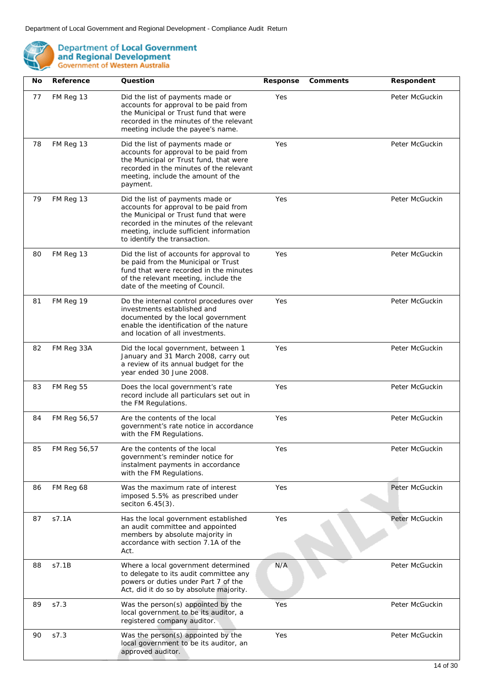

| No | Reference    | Question                                                                                                                                                                                                                                 | Response | Comments | Respondent     |
|----|--------------|------------------------------------------------------------------------------------------------------------------------------------------------------------------------------------------------------------------------------------------|----------|----------|----------------|
| 77 | FM Reg 13    | Did the list of payments made or<br>accounts for approval to be paid from<br>the Municipal or Trust fund that were<br>recorded in the minutes of the relevant<br>meeting include the payee's name.                                       | Yes      |          | Peter McGuckin |
| 78 | FM Reg 13    | Did the list of payments made or<br>accounts for approval to be paid from<br>the Municipal or Trust fund, that were<br>recorded in the minutes of the relevant<br>meeting, include the amount of the<br>payment.                         | Yes      |          | Peter McGuckin |
| 79 | FM Reg 13    | Did the list of payments made or<br>accounts for approval to be paid from<br>the Municipal or Trust fund that were<br>recorded in the minutes of the relevant<br>meeting, include sufficient information<br>to identify the transaction. | Yes      |          | Peter McGuckin |
| 80 | FM Reg 13    | Did the list of accounts for approval to<br>be paid from the Municipal or Trust<br>fund that were recorded in the minutes<br>of the relevant meeting, include the<br>date of the meeting of Council.                                     | Yes      |          | Peter McGuckin |
| 81 | FM Reg 19    | Do the internal control procedures over<br>investments established and<br>documented by the local government<br>enable the identification of the nature<br>and location of all investments.                                              | Yes      |          | Peter McGuckin |
| 82 | FM Reg 33A   | Did the local government, between 1<br>January and 31 March 2008, carry out<br>a review of its annual budget for the<br>year ended 30 June 2008.                                                                                         | Yes      |          | Peter McGuckin |
| 83 | FM Reg 55    | Does the local government's rate<br>record include all particulars set out in<br>the FM Regulations.                                                                                                                                     | Yes      |          | Peter McGuckin |
| 84 | FM Reg 56,57 | Are the contents of the local<br>government's rate notice in accordance<br>with the FM Regulations.                                                                                                                                      | Yes      |          | Peter McGuckin |
| 85 | FM Reg 56,57 | Are the contents of the local<br>government's reminder notice for<br>instalment payments in accordance<br>with the FM Regulations.                                                                                                       | Yes      |          | Peter McGuckin |
| 86 | FM Reg 68    | Was the maximum rate of interest<br>imposed 5.5% as prescribed under<br>seciton 6.45(3).                                                                                                                                                 | Yes      |          | Peter McGuckin |
| 87 | s7.1A        | Has the local government established<br>an audit committee and appointed<br>members by absolute majority in<br>accordance with section 7.1A of the<br>Act.                                                                               | Yes      |          | Peter McGuckin |
| 88 | s7.1B        | Where a local government determined<br>to delegate to its audit committee any<br>powers or duties under Part 7 of the<br>Act, did it do so by absolute majority.                                                                         | N/A      |          | Peter McGuckin |
| 89 | s7.3         | Was the person(s) appointed by the<br>local government to be its auditor, a<br>registered company auditor.                                                                                                                               | Yes      |          | Peter McGuckin |
| 90 | S7.3         | Was the person(s) appointed by the<br>local government to be its auditor, an<br>approved auditor.                                                                                                                                        | Yes      |          | Peter McGuckin |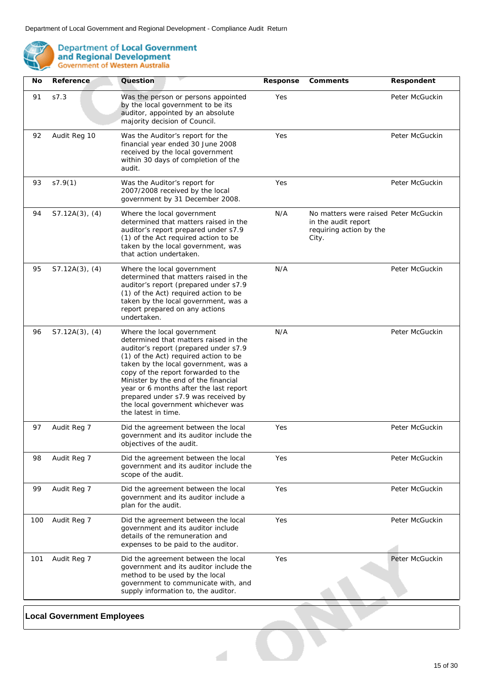

| No  | Reference           | Question                                                                                                                                                                                                                                                                                                                                                                                                                   | Response | Comments                                                                                         | Respondent     |
|-----|---------------------|----------------------------------------------------------------------------------------------------------------------------------------------------------------------------------------------------------------------------------------------------------------------------------------------------------------------------------------------------------------------------------------------------------------------------|----------|--------------------------------------------------------------------------------------------------|----------------|
| 91  | S7.3                | Was the person or persons appointed<br>by the local government to be its<br>auditor, appointed by an absolute<br>majority decision of Council.                                                                                                                                                                                                                                                                             | Yes      |                                                                                                  | Peter McGuckin |
| 92  | Audit Reg 10        | Was the Auditor's report for the<br>financial year ended 30 June 2008<br>received by the local government<br>within 30 days of completion of the<br>audit.                                                                                                                                                                                                                                                                 | Yes      |                                                                                                  | Peter McGuckin |
| 93  | s7.9(1)             | Was the Auditor's report for<br>2007/2008 received by the local<br>government by 31 December 2008.                                                                                                                                                                                                                                                                                                                         | Yes      |                                                                                                  | Peter McGuckin |
| 94  | $S7.12A(3)$ , $(4)$ | Where the local government<br>determined that matters raised in the<br>auditor's report prepared under s7.9<br>(1) of the Act required action to be<br>taken by the local government, was<br>that action undertaken.                                                                                                                                                                                                       | N/A      | No matters were raised Peter McGuckin<br>in the audit report<br>requiring action by the<br>City. |                |
| 95  | $S7.12A(3)$ , $(4)$ | Where the local government<br>determined that matters raised in the<br>auditor's report (prepared under s7.9<br>(1) of the Act) required action to be<br>taken by the local government, was a<br>report prepared on any actions<br>undertaken.                                                                                                                                                                             | N/A      |                                                                                                  | Peter McGuckin |
| 96  | $S7.12A(3)$ , $(4)$ | Where the local government<br>determined that matters raised in the<br>auditor's report (prepared under s7.9<br>(1) of the Act) required action to be<br>taken by the local government, was a<br>copy of the report forwarded to the<br>Minister by the end of the financial<br>year or 6 months after the last report<br>prepared under s7.9 was received by<br>the local government whichever was<br>the latest in time. | N/A      |                                                                                                  | Peter McGuckin |
| 97  | Audit Reg 7         | Did the agreement between the local<br>government and its auditor include the<br>objectives of the audit.                                                                                                                                                                                                                                                                                                                  | Yes      |                                                                                                  | Peter McGuckin |
| 98  | Audit Reg 7         | Did the agreement between the local<br>government and its auditor include the<br>scope of the audit.                                                                                                                                                                                                                                                                                                                       | Yes      |                                                                                                  | Peter McGuckin |
| 99  | Audit Reg 7         | Did the agreement between the local<br>government and its auditor include a<br>plan for the audit.                                                                                                                                                                                                                                                                                                                         | Yes      |                                                                                                  | Peter McGuckin |
| 100 | Audit Reg 7         | Did the agreement between the local<br>government and its auditor include<br>details of the remuneration and<br>expenses to be paid to the auditor.                                                                                                                                                                                                                                                                        | Yes      |                                                                                                  | Peter McGuckin |
| 101 | Audit Reg 7         | Did the agreement between the local<br>government and its auditor include the<br>method to be used by the local<br>government to communicate with, and<br>supply information to, the auditor.                                                                                                                                                                                                                              | Yes      |                                                                                                  | Peter McGuckin |

 $\mathcal{A}$ 

## **Local Government Employees**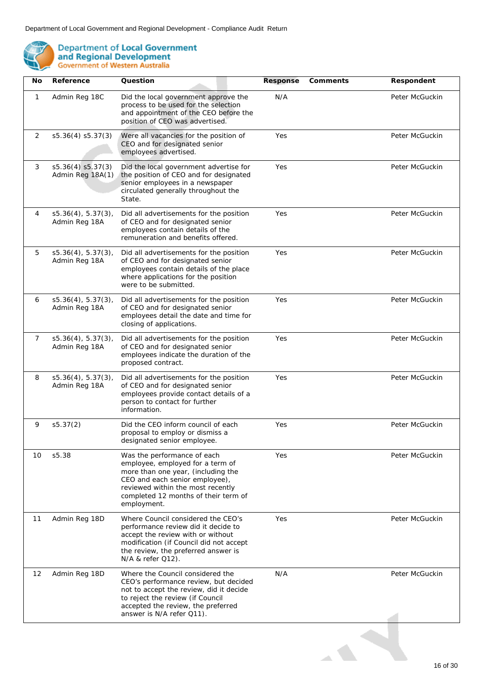

| No | Reference                             | Question                                                                                                                                                                                                                            | Response | Comments | Respondent     |
|----|---------------------------------------|-------------------------------------------------------------------------------------------------------------------------------------------------------------------------------------------------------------------------------------|----------|----------|----------------|
| 1  | Admin Reg 18C                         | Did the local government approve the<br>process to be used for the selection<br>and appointment of the CEO before the<br>position of CEO was advertised.                                                                            | N/A      |          | Peter McGuckin |
| 2  | s5.36(4) s5.37(3)                     | Were all vacancies for the position of<br>CEO and for designated senior<br>employees advertised.                                                                                                                                    | Yes      |          | Peter McGuckin |
| 3  | s5.36(4) s5.37(3)<br>Admin Reg 18A(1) | Did the local government advertise for<br>the position of CEO and for designated<br>senior employees in a newspaper<br>circulated generally throughout the<br>State.                                                                | Yes      |          | Peter McGuckin |
| 4  | s5.36(4), 5.37(3),<br>Admin Reg 18A   | Did all advertisements for the position<br>of CEO and for designated senior<br>employees contain details of the<br>remuneration and benefits offered.                                                                               | Yes      |          | Peter McGuckin |
| 5  | s5.36(4), 5.37(3),<br>Admin Reg 18A   | Did all advertisements for the position<br>of CEO and for designated senior<br>employees contain details of the place<br>where applications for the position<br>were to be submitted.                                               | Yes      |          | Peter McGuckin |
| 6  | s5.36(4), 5.37(3),<br>Admin Reg 18A   | Did all advertisements for the position<br>of CEO and for designated senior<br>employees detail the date and time for<br>closing of applications.                                                                                   | Yes      |          | Peter McGuckin |
| 7  | s5.36(4), 5.37(3),<br>Admin Reg 18A   | Did all advertisements for the position<br>of CEO and for designated senior<br>employees indicate the duration of the<br>proposed contract.                                                                                         | Yes      |          | Peter McGuckin |
| 8  | s5.36(4), 5.37(3),<br>Admin Reg 18A   | Did all advertisements for the position<br>of CEO and for designated senior<br>employees provide contact details of a<br>person to contact for further<br>information.                                                              | Yes      |          | Peter McGuckin |
| 9  | s5.37(2)                              | Did the CEO inform council of each<br>proposal to employ or dismiss a<br>designated senior employee.                                                                                                                                | Yes      |          | Peter McGuckin |
| 10 | s5.38                                 | Was the performance of each<br>employee, employed for a term of<br>more than one year, (including the<br>CEO and each senior employee),<br>reviewed within the most recently<br>completed 12 months of their term of<br>employment. | Yes      |          | Peter McGuckin |
| 11 | Admin Reg 18D                         | Where Council considered the CEO's<br>performance review did it decide to<br>accept the review with or without<br>modification (if Council did not accept<br>the review, the preferred answer is<br>N/A & refer Q12).               | Yes      |          | Peter McGuckin |
| 12 | Admin Reg 18D                         | Where the Council considered the<br>CEO's performance review, but decided<br>not to accept the review, did it decide<br>to reject the review (if Council<br>accepted the review, the preferred<br>answer is N/A refer Q11).         | N/A      |          | Peter McGuckin |
|    |                                       |                                                                                                                                                                                                                                     |          |          |                |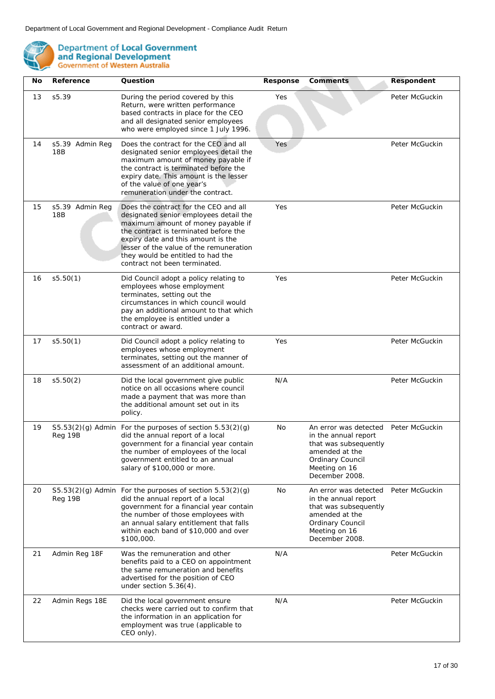

| No | Reference              | Question                                                                                                                                                                                                                                                                                                              | Response | Comments                                                                                                                                               | Respondent     |
|----|------------------------|-----------------------------------------------------------------------------------------------------------------------------------------------------------------------------------------------------------------------------------------------------------------------------------------------------------------------|----------|--------------------------------------------------------------------------------------------------------------------------------------------------------|----------------|
| 13 | s5.39                  | During the period covered by this<br>Return, were written performance<br>based contracts in place for the CEO<br>and all designated senior employees<br>who were employed since 1 July 1996.                                                                                                                          | Yes      |                                                                                                                                                        | Peter McGuckin |
| 14 | s5.39 Admin Reg<br>18B | Does the contract for the CEO and all<br>designated senior employees detail the<br>maximum amount of money payable if<br>the contract is terminated before the<br>expiry date. This amount is the lesser<br>of the value of one year's<br>remuneration under the contract.                                            | Yes      |                                                                                                                                                        | Peter McGuckin |
| 15 | s5.39 Admin Reg<br>18B | Does the contract for the CEO and all<br>designated senior employees detail the<br>maximum amount of money payable if<br>the contract is terminated before the<br>expiry date and this amount is the<br>lesser of the value of the remuneration<br>they would be entitled to had the<br>contract not been terminated. | Yes      |                                                                                                                                                        | Peter McGuckin |
| 16 | s5.50(1)               | Did Council adopt a policy relating to<br>employees whose employment<br>terminates, setting out the<br>circumstances in which council would<br>pay an additional amount to that which<br>the employee is entitled under a<br>contract or award.                                                                       | Yes      |                                                                                                                                                        | Peter McGuckin |
| 17 | s5.50(1)               | Did Council adopt a policy relating to<br>employees whose employment<br>terminates, setting out the manner of<br>assessment of an additional amount.                                                                                                                                                                  | Yes      |                                                                                                                                                        | Peter McGuckin |
| 18 | s5.50(2)               | Did the local government give public<br>notice on all occasions where council<br>made a payment that was more than<br>the additional amount set out in its<br>policy.                                                                                                                                                 | N/A      |                                                                                                                                                        | Peter McGuckin |
| 19 | Reg 19B                | $S5.53(2)(g)$ Admin For the purposes of section $5.53(2)(g)$<br>did the annual report of a local<br>government for a financial year contain<br>the number of employees of the local<br>government entitled to an annual<br>salary of \$100,000 or more.                                                               | No       | An error was detected<br>in the annual report<br>that was subsequently<br>amended at the<br>Ordinary Council<br>Meeting on 16<br>December 2008.        | Peter McGuckin |
| 20 | Reg 19B                | $S5.53(2)(q)$ Admin For the purposes of section $5.53(2)(q)$<br>did the annual report of a local<br>government for a financial year contain<br>the number of those employees with<br>an annual salary entitlement that falls<br>within each band of \$10,000 and over<br>\$100,000.                                   | No       | An error was detected<br>in the annual report<br>that was subsequently<br>amended at the<br><b>Ordinary Council</b><br>Meeting on 16<br>December 2008. | Peter McGuckin |
| 21 | Admin Reg 18F          | Was the remuneration and other<br>benefits paid to a CEO on appointment<br>the same remuneration and benefits<br>advertised for the position of CEO<br>under section $5.36(4)$ .                                                                                                                                      | N/A      |                                                                                                                                                        | Peter McGuckin |
| 22 | Admin Regs 18E         | Did the local government ensure<br>checks were carried out to confirm that<br>the information in an application for<br>employment was true (applicable to<br>CEO only).                                                                                                                                               | N/A      |                                                                                                                                                        | Peter McGuckin |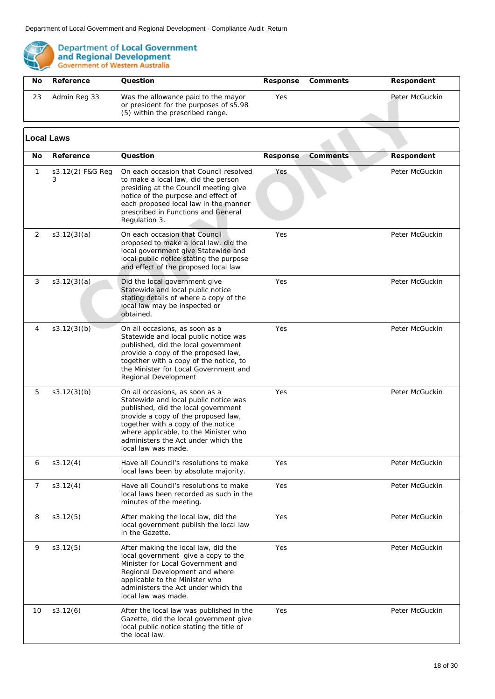

| Nο | Reference    | Ouestion                                                                                                          |     | Response Comments | Respondent     |
|----|--------------|-------------------------------------------------------------------------------------------------------------------|-----|-------------------|----------------|
| 23 | Admin Reg 33 | Was the allowance paid to the mayor<br>or president for the purposes of s5.98<br>(5) within the prescribed range. | Yes |                   | Peter McGuckin |

#### 10 s3.12(6) After the local law was published in the Gazette, did the local government give local public notice stating the title of the local law. Yes Peter McGuckin 9 s3.12(5) After making the local law, did the local government give a copy to the Minister for Local Government and Regional Development and where applicable to the Minister who administers the Act under which the local law was made. Yes Peter McGuckin 3 s3.12(3)(a) Did the local government give Statewide and local public notice stating details of where a copy of the local law may be inspected or obtained. Yes Peter McGuckin 4 s3.12(3)(b) On all occasions, as soon as a Statewide and local public notice was published, did the local government provide a copy of the proposed law, together with a copy of the notice, to the Minister for Local Government and Regional Development Yes Peter McGuckin 1 s3.12(2) F&G Reg 3 On each occasion that Council resolved to make a local law, did the person presiding at the Council meeting give notice of the purpose and effect of each proposed local law in the manner prescribed in Functions and General Regulation 3. **Yes** Peter McGuckin 2 s3.12(3)(a) On each occasion that Council proposed to make a local law, did the local government give Statewide and local public notice stating the purpose and effect of the proposed local law Yes Peter McGuckin 7 s3.12(4) Have all Council's resolutions to make local laws been recorded as such in the minutes of the meeting. Yes Peter McGuckin 8 s3.12(5) After making the local law, did the local government publish the local law in the Gazette. Yes Peter McGuckin 5 s3.12(3)(b) On all occasions, as soon as a Statewide and local public notice was published, did the local government provide a copy of the proposed law, together with a copy of the notice where applicable, to the Minister who administers the Act under which the local law was made. Yes Peter McGuckin 6 s3.12(4) Have all Council's resolutions to make local laws been by absolute majority. Yes Peter McGuckin **No Reference Question Response Comments Respondent Local Laws**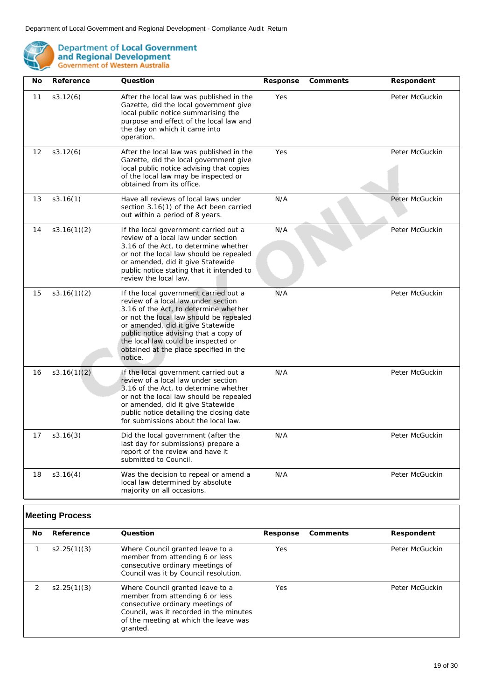

| No | Reference   | Question                                                                                                                                                                                                                                                                                                                                   | Response | Comments | Respondent     |
|----|-------------|--------------------------------------------------------------------------------------------------------------------------------------------------------------------------------------------------------------------------------------------------------------------------------------------------------------------------------------------|----------|----------|----------------|
| 11 | s3.12(6)    | After the local law was published in the<br>Gazette, did the local government give<br>local public notice summarising the<br>purpose and effect of the local law and<br>the day on which it came into<br>operation.                                                                                                                        | Yes      |          | Peter McGuckin |
| 12 | s3.12(6)    | After the local law was published in the<br>Gazette, did the local government give<br>local public notice advising that copies<br>of the local law may be inspected or<br>obtained from its office.                                                                                                                                        | Yes      |          | Peter McGuckin |
| 13 | s3.16(1)    | Have all reviews of local laws under<br>section 3.16(1) of the Act been carried<br>out within a period of 8 years.                                                                                                                                                                                                                         | N/A      |          | Peter McGuckin |
| 14 | s3.16(1)(2) | If the local government carried out a<br>review of a local law under section<br>3.16 of the Act, to determine whether<br>or not the local law should be repealed<br>or amended, did it give Statewide<br>public notice stating that it intended to<br>review the local law.                                                                | N/A      |          | Peter McGuckin |
| 15 | s3.16(1)(2) | If the local government carried out a<br>review of a local law under section<br>3.16 of the Act, to determine whether<br>or not the local law should be repealed<br>or amended, did it give Statewide<br>public notice advising that a copy of<br>the local law could be inspected or<br>obtained at the place specified in the<br>notice. | N/A      |          | Peter McGuckin |
| 16 | s3.16(1)(2) | If the local government carried out a<br>review of a local law under section<br>3.16 of the Act, to determine whether<br>or not the local law should be repealed<br>or amended, did it give Statewide<br>public notice detailing the closing date<br>for submissions about the local law.                                                  | N/A      |          | Peter McGuckin |
| 17 | s3.16(3)    | Did the local government (after the<br>last day for submissions) prepare a<br>report of the review and have it<br>submitted to Council.                                                                                                                                                                                                    | N/A      |          | Peter McGuckin |
| 18 | s3.16(4)    | Was the decision to repeal or amend a<br>local law determined by absolute<br>majority on all occasions.                                                                                                                                                                                                                                    | N/A      |          | Peter McGuckin |

## **Meeting Process**

| No. | Reference   | Ouestion                                                                                                                                                                                                | Response | Comments | Respondent     |
|-----|-------------|---------------------------------------------------------------------------------------------------------------------------------------------------------------------------------------------------------|----------|----------|----------------|
|     | s2.25(1)(3) | Where Council granted leave to a<br>member from attending 6 or less<br>consecutive ordinary meetings of<br>Council was it by Council resolution.                                                        | Yes      |          | Peter McGuckin |
|     | s2.25(1)(3) | Where Council granted leave to a<br>member from attending 6 or less<br>consecutive ordinary meetings of<br>Council, was it recorded in the minutes<br>of the meeting at which the leave was<br>granted. | Yes      |          | Peter McGuckin |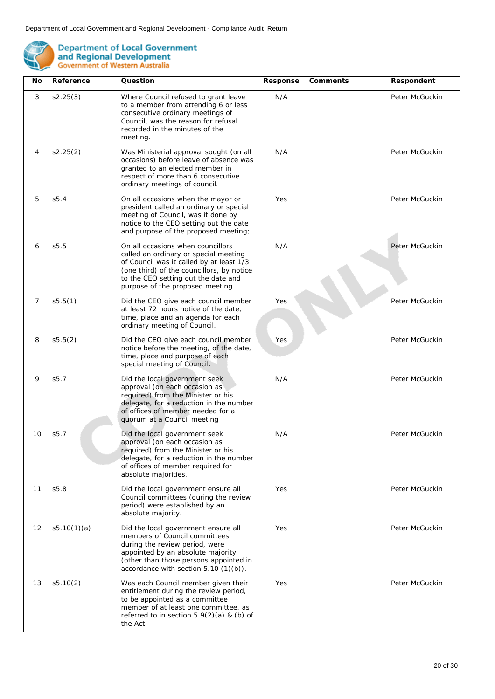

| No             | Reference   | Question                                                                                                                                                                                                                                       | Response | Comments | Respondent     |
|----------------|-------------|------------------------------------------------------------------------------------------------------------------------------------------------------------------------------------------------------------------------------------------------|----------|----------|----------------|
| 3              | s2.25(3)    | Where Council refused to grant leave<br>to a member from attending 6 or less<br>consecutive ordinary meetings of<br>Council, was the reason for refusal<br>recorded in the minutes of the<br>meeting.                                          | N/A      |          | Peter McGuckin |
| 4              | s2.25(2)    | Was Ministerial approval sought (on all<br>occasions) before leave of absence was<br>granted to an elected member in<br>respect of more than 6 consecutive<br>ordinary meetings of council.                                                    | N/A      |          | Peter McGuckin |
| 5              | S5.4        | On all occasions when the mayor or<br>president called an ordinary or special<br>meeting of Council, was it done by<br>notice to the CEO setting out the date<br>and purpose of the proposed meeting;                                          | Yes      |          | Peter McGuckin |
| 6              | s5.5        | On all occasions when councillors<br>called an ordinary or special meeting<br>of Council was it called by at least 1/3<br>(one third) of the councillors, by notice<br>to the CEO setting out the date and<br>purpose of the proposed meeting. | N/A      |          | Peter McGuckin |
| $\overline{7}$ | s5.5(1)     | Did the CEO give each council member<br>at least 72 hours notice of the date,<br>time, place and an agenda for each<br>ordinary meeting of Council.                                                                                            | Yes      |          | Peter McGuckin |
| 8              | s5.5(2)     | Did the CEO give each council member<br>notice before the meeting, of the date,<br>time, place and purpose of each<br>special meeting of Council.                                                                                              | Yes      |          | Peter McGuckin |
| 9              | S5.7        | Did the local government seek<br>approval (on each occasion as<br>required) from the Minister or his<br>delegate, for a reduction in the number<br>of offices of member needed for a<br>quorum at a Council meeting                            | N/A      |          | Peter McGuckin |
| 10             | S5.7        | Did the local government seek<br>approval (on each occasion as<br>required) from the Minister or his<br>delegate, for a reduction in the number<br>of offices of member required for<br>absolute majorities.                                   | N/A      |          | Peter McGuckin |
| 11             | S5.8        | Did the local government ensure all<br>Council committees (during the review<br>period) were established by an<br>absolute majority.                                                                                                           | Yes      |          | Peter McGuckin |
| 12             | s5.10(1)(a) | Did the local government ensure all<br>members of Council committees,<br>during the review period, were<br>appointed by an absolute majority<br>(other than those persons appointed in<br>accordance with section $5.10(1)(b)$ .               | Yes      |          | Peter McGuckin |
| 13             | s5.10(2)    | Was each Council member given their<br>entitlement during the review period,<br>to be appointed as a committee<br>member of at least one committee, as<br>referred to in section $5.9(2)(a)$ & (b) of<br>the Act.                              | Yes      |          | Peter McGuckin |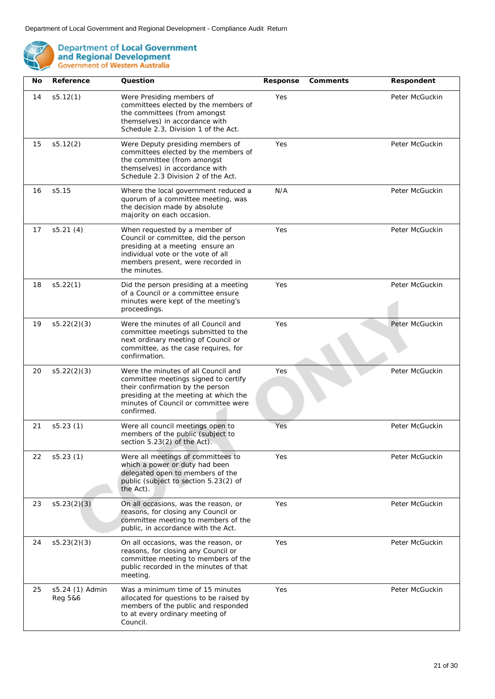

| <b>No</b> | Reference                  | Question                                                                                                                                                                                                       | Response | Comments | Respondent     |
|-----------|----------------------------|----------------------------------------------------------------------------------------------------------------------------------------------------------------------------------------------------------------|----------|----------|----------------|
| 14        | s5.12(1)                   | Were Presiding members of<br>committees elected by the members of<br>the committees (from amongst<br>themselves) in accordance with<br>Schedule 2.3, Division 1 of the Act.                                    | Yes      |          | Peter McGuckin |
| 15        | s5.12(2)                   | Were Deputy presiding members of<br>committees elected by the members of<br>the committee (from amongst<br>themselves) in accordance with<br>Schedule 2.3 Division 2 of the Act.                               | Yes      |          | Peter McGuckin |
| 16        | s5.15                      | Where the local government reduced a<br>quorum of a committee meeting, was<br>the decision made by absolute<br>majority on each occasion.                                                                      | N/A      |          | Peter McGuckin |
| 17        | s5.21(4)                   | When requested by a member of<br>Council or committee, did the person<br>presiding at a meeting ensure an<br>individual vote or the vote of all<br>members present, were recorded in<br>the minutes.           | Yes      |          | Peter McGuckin |
| 18        | s5.22(1)                   | Did the person presiding at a meeting<br>of a Council or a committee ensure<br>minutes were kept of the meeting's<br>proceedings.                                                                              | Yes      |          | Peter McGuckin |
| 19        | s5.22(2)(3)                | Were the minutes of all Council and<br>committee meetings submitted to the<br>next ordinary meeting of Council or<br>committee, as the case requires, for<br>confirmation.                                     | Yes      |          | Peter McGuckin |
| 20        | s5.22(2)(3)                | Were the minutes of all Council and<br>committee meetings signed to certify<br>their confirmation by the person<br>presiding at the meeting at which the<br>minutes of Council or committee were<br>confirmed. | Yes      |          | Peter McGuckin |
| 21        | s5.23(1)                   | Were all council meetings open to<br>members of the public (subject to<br>section 5.23(2) of the Act).                                                                                                         | Yes      |          | Peter McGuckin |
| 22        | s5.23(1)                   | Were all meetings of committees to<br>which a power or duty had been<br>delegated open to members of the<br>public (subject to section 5.23(2) of<br>the Act).                                                 | Yes      |          | Peter McGuckin |
| 23        | s5.23(2)(3)                | On all occasions, was the reason, or<br>reasons, for closing any Council or<br>committee meeting to members of the<br>public, in accordance with the Act.                                                      | Yes      |          | Peter McGuckin |
| 24        | s5.23(2)(3)                | On all occasions, was the reason, or<br>reasons, for closing any Council or<br>committee meeting to members of the<br>public recorded in the minutes of that<br>meeting.                                       | Yes      |          | Peter McGuckin |
| 25        | s5.24 (1) Admin<br>Reg 5&6 | Was a minimum time of 15 minutes<br>allocated for questions to be raised by<br>members of the public and responded<br>to at every ordinary meeting of<br>Council.                                              | Yes      |          | Peter McGuckin |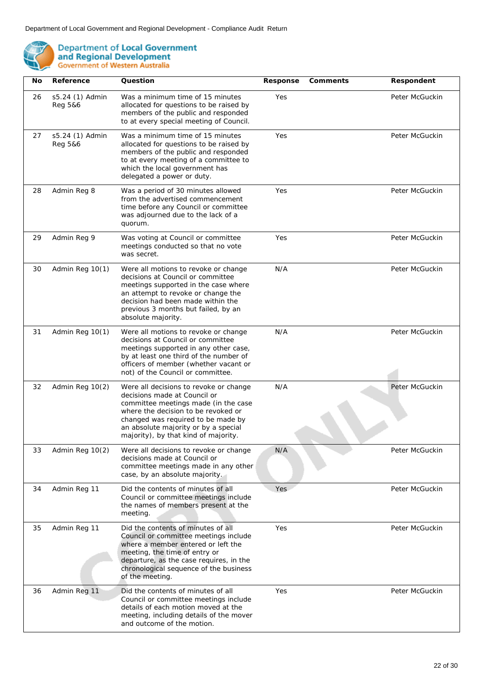

| No | Reference                  | Question                                                                                                                                                                                                                                                                    | Response | Comments | Respondent     |
|----|----------------------------|-----------------------------------------------------------------------------------------------------------------------------------------------------------------------------------------------------------------------------------------------------------------------------|----------|----------|----------------|
| 26 | s5.24 (1) Admin<br>Reg 5&6 | Was a minimum time of 15 minutes<br>allocated for questions to be raised by<br>members of the public and responded<br>to at every special meeting of Council.                                                                                                               | Yes      |          | Peter McGuckin |
| 27 | s5.24 (1) Admin<br>Reg 5&6 | Was a minimum time of 15 minutes<br>allocated for questions to be raised by<br>members of the public and responded<br>to at every meeting of a committee to<br>which the local government has<br>delegated a power or duty.                                                 | Yes      |          | Peter McGuckin |
| 28 | Admin Reg 8                | Was a period of 30 minutes allowed<br>from the advertised commencement<br>time before any Council or committee<br>was adjourned due to the lack of a<br>quorum.                                                                                                             | Yes      |          | Peter McGuckin |
| 29 | Admin Reg 9                | Was voting at Council or committee<br>meetings conducted so that no vote<br>was secret.                                                                                                                                                                                     | Yes      |          | Peter McGuckin |
| 30 | Admin Reg 10(1)            | Were all motions to revoke or change<br>decisions at Council or committee<br>meetings supported in the case where<br>an attempt to revoke or change the<br>decision had been made within the<br>previous 3 months but failed, by an<br>absolute majority.                   | N/A      |          | Peter McGuckin |
| 31 | Admin Reg 10(1)            | Were all motions to revoke or change<br>decisions at Council or committee<br>meetings supported in any other case,<br>by at least one third of the number of<br>officers of member (whether vacant or<br>not) of the Council or committee.                                  | N/A      |          | Peter McGuckin |
| 32 | Admin Reg 10(2)            | Were all decisions to revoke or change<br>decisions made at Council or<br>committee meetings made (in the case<br>where the decision to be revoked or<br>changed was required to be made by<br>an absolute majority or by a special<br>majority), by that kind of majority. | N/A      |          | Peter McGuckin |
| 33 | Admin Reg 10(2)            | Were all decisions to revoke or change<br>decisions made at Council or<br>committee meetings made in any other<br>case, by an absolute majority.                                                                                                                            | N/A      |          | Peter McGuckin |
| 34 | Admin Reg 11               | Did the contents of minutes of all<br>Council or committee meetings include<br>the names of members present at the<br>meeting.                                                                                                                                              | Yes      |          | Peter McGuckin |
| 35 | Admin Reg 11               | Did the contents of minutes of all<br>Council or committee meetings include<br>where a member entered or left the<br>meeting, the time of entry or<br>departure, as the case requires, in the<br>chronological sequence of the business<br>of the meeting.                  | Yes      |          | Peter McGuckin |
| 36 | Admin Reg 11               | Did the contents of minutes of all<br>Council or committee meetings include<br>details of each motion moved at the<br>meeting, including details of the mover<br>and outcome of the motion.                                                                                 | Yes      |          | Peter McGuckin |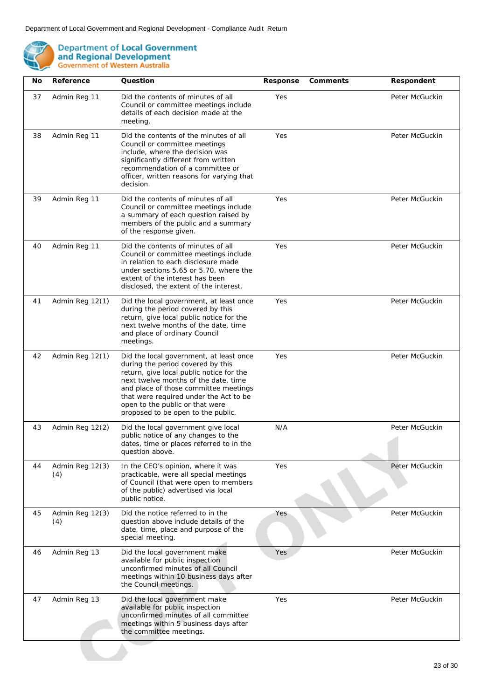

| No | Reference              | Question                                                                                                                                                                                                                                                                                                                     | Response | Comments | Respondent     |
|----|------------------------|------------------------------------------------------------------------------------------------------------------------------------------------------------------------------------------------------------------------------------------------------------------------------------------------------------------------------|----------|----------|----------------|
| 37 | Admin Reg 11           | Did the contents of minutes of all<br>Council or committee meetings include<br>details of each decision made at the<br>meeting.                                                                                                                                                                                              | Yes      |          | Peter McGuckin |
| 38 | Admin Reg 11           | Did the contents of the minutes of all<br>Council or committee meetings<br>include, where the decision was<br>significantly different from written<br>recommendation of a committee or<br>officer, written reasons for varying that<br>decision.                                                                             | Yes      |          | Peter McGuckin |
| 39 | Admin Reg 11           | Did the contents of minutes of all<br>Council or committee meetings include<br>a summary of each question raised by<br>members of the public and a summary<br>of the response given.                                                                                                                                         | Yes      |          | Peter McGuckin |
| 40 | Admin Reg 11           | Did the contents of minutes of all<br>Council or committee meetings include<br>in relation to each disclosure made<br>under sections 5.65 or 5.70, where the<br>extent of the interest has been<br>disclosed, the extent of the interest.                                                                                    | Yes      |          | Peter McGuckin |
| 41 | Admin Reg 12(1)        | Did the local government, at least once<br>during the period covered by this<br>return, give local public notice for the<br>next twelve months of the date, time<br>and place of ordinary Council<br>meetings.                                                                                                               | Yes      |          | Peter McGuckin |
| 42 | Admin Reg 12(1)        | Did the local government, at least once<br>during the period covered by this<br>return, give local public notice for the<br>next twelve months of the date, time<br>and place of those committee meetings<br>that were required under the Act to be<br>open to the public or that were<br>proposed to be open to the public. | Yes      |          | Peter McGuckin |
| 43 | Admin Reg 12(2)        | Did the local government give local<br>public notice of any changes to the<br>dates, time or places referred to in the<br>question above.                                                                                                                                                                                    | N/A      |          | Peter McGuckin |
| 44 | Admin Reg 12(3)<br>(4) | In the CEO's opinion, where it was<br>practicable, were all special meetings<br>of Council (that were open to members<br>of the public) advertised via local<br>public notice.                                                                                                                                               | Yes      |          | Peter McGuckin |
| 45 | Admin Reg 12(3)<br>(4) | Did the notice referred to in the<br>question above include details of the<br>date, time, place and purpose of the<br>special meeting.                                                                                                                                                                                       | Yes      |          | Peter McGuckin |
| 46 | Admin Reg 13           | Did the local government make<br>available for public inspection<br>unconfirmed minutes of all Council<br>meetings within 10 business days after<br>the Council meetings.                                                                                                                                                    | Yes      |          | Peter McGuckin |
| 47 | Admin Reg 13           | Did the local government make<br>available for public inspection<br>unconfirmed minutes of all committee<br>meetings within 5 business days after<br>the committee meetings.                                                                                                                                                 | Yes      |          | Peter McGuckin |
|    |                        |                                                                                                                                                                                                                                                                                                                              |          |          |                |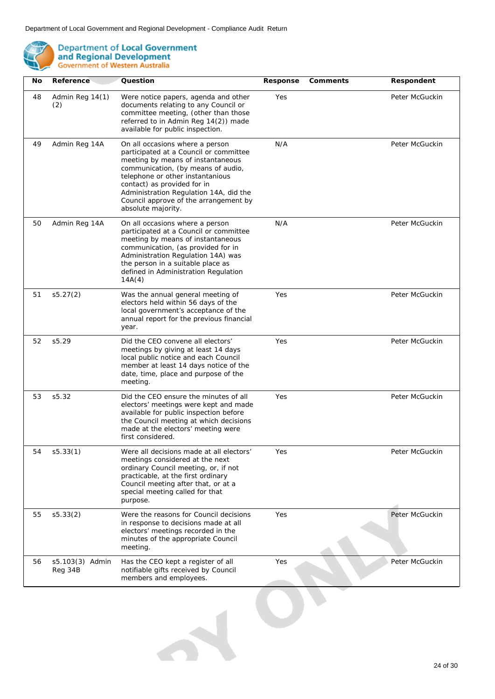

| No | Reference                  | Question                                                                                                                                                                                                                                                                                                                         | Response | Comments | Respondent     |
|----|----------------------------|----------------------------------------------------------------------------------------------------------------------------------------------------------------------------------------------------------------------------------------------------------------------------------------------------------------------------------|----------|----------|----------------|
| 48 | Admin Reg 14(1)<br>(2)     | Were notice papers, agenda and other<br>documents relating to any Council or<br>committee meeting, (other than those<br>referred to in Admin Reg 14(2)) made<br>available for public inspection.                                                                                                                                 | Yes      |          | Peter McGuckin |
| 49 | Admin Reg 14A              | On all occasions where a person<br>participated at a Council or committee<br>meeting by means of instantaneous<br>communication, (by means of audio,<br>telephone or other instantanious<br>contact) as provided for in<br>Administration Regulation 14A, did the<br>Council approve of the arrangement by<br>absolute majority. | N/A      |          | Peter McGuckin |
| 50 | Admin Reg 14A              | On all occasions where a person<br>participated at a Council or committee<br>meeting by means of instantaneous<br>communication, (as provided for in<br>Administration Regulation 14A) was<br>the person in a suitable place as<br>defined in Administration Regulation<br>14A(4)                                                | N/A      |          | Peter McGuckin |
| 51 | s5.27(2)                   | Was the annual general meeting of<br>electors held within 56 days of the<br>local government's acceptance of the<br>annual report for the previous financial<br>year.                                                                                                                                                            | Yes      |          | Peter McGuckin |
| 52 | s5.29                      | Did the CEO convene all electors'<br>meetings by giving at least 14 days<br>local public notice and each Council<br>member at least 14 days notice of the<br>date, time, place and purpose of the<br>meeting.                                                                                                                    | Yes      |          | Peter McGuckin |
| 53 | s5.32                      | Did the CEO ensure the minutes of all<br>electors' meetings were kept and made<br>available for public inspection before<br>the Council meeting at which decisions<br>made at the electors' meeting were<br>first considered.                                                                                                    | Yes      |          | Peter McGuckin |
| 54 | s5.33(1)                   | Were all decisions made at all electors'<br>meetings considered at the next<br>ordinary Council meeting, or, if not<br>practicable, at the first ordinary<br>Council meeting after that, or at a<br>special meeting called for that<br>purpose.                                                                                  | Yes      |          | Peter McGuckin |
| 55 | s5.33(2)                   | Were the reasons for Council decisions<br>in response to decisions made at all<br>electors' meetings recorded in the<br>minutes of the appropriate Council<br>meeting.                                                                                                                                                           | Yes      |          | Peter McGuckin |
| 56 | s5.103(3) Admin<br>Reg 34B | Has the CEO kept a register of all<br>notifiable gifts received by Council<br>members and employees.                                                                                                                                                                                                                             | Yes      |          | Peter McGuckin |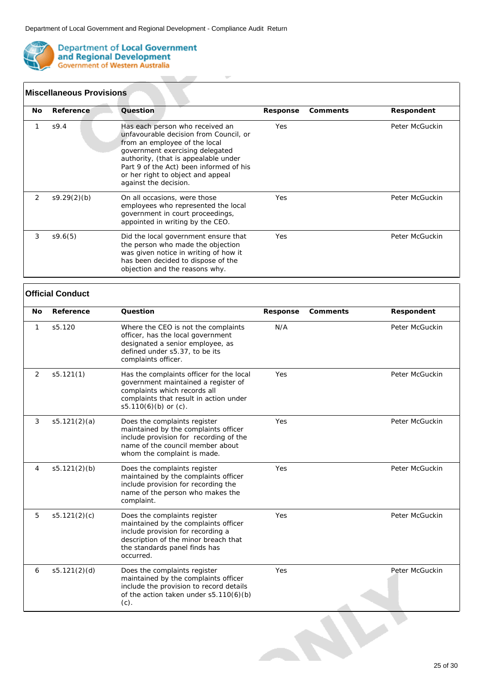$\overline{\phantom{a}}$ 

**Contract Contract** 



**Department of Local Government** and Regional Development<br>Government of Western Australia

|     | <b>Miscellaneous Provisions</b> |                                                                                                                                                                                                                                                                                                |            |          |                |  |  |  |
|-----|---------------------------------|------------------------------------------------------------------------------------------------------------------------------------------------------------------------------------------------------------------------------------------------------------------------------------------------|------------|----------|----------------|--|--|--|
| No. | Reference                       | Question                                                                                                                                                                                                                                                                                       | Response   | Comments | Respondent     |  |  |  |
| 1   | S9.4                            | Has each person who received an<br>unfavourable decision from Council, or<br>from an employee of the local<br>government exercising delegated<br>authority, (that is appealable under<br>Part 9 of the Act) been informed of his<br>or her right to object and appeal<br>against the decision. | <b>Yes</b> |          | Peter McGuckin |  |  |  |
| 2   | S9.29(2)(b)                     | On all occasions, were those<br>employees who represented the local<br>government in court proceedings,<br>appointed in writing by the CEO.                                                                                                                                                    | <b>Yes</b> |          | Peter McGuckin |  |  |  |
| 3   | S9.6(5)                         | Did the local government ensure that<br>the person who made the objection<br>was given notice in writing of how it<br>has been decided to dispose of the<br>objection and the reasons why.                                                                                                     | Yes        |          | Peter McGuckin |  |  |  |

### **Official Conduct**

| <b>No</b>      | Reference    | Question                                                                                                                                                                                        | Response | Comments | Respondent     |
|----------------|--------------|-------------------------------------------------------------------------------------------------------------------------------------------------------------------------------------------------|----------|----------|----------------|
| 1              | s5.120       | Where the CEO is not the complaints<br>officer, has the local government<br>designated a senior employee, as<br>defined under s5.37, to be its<br>complaints officer.                           | N/A      |          | Peter McGuckin |
| 2              | s5.121(1)    | Has the complaints officer for the local<br>government maintained a register of<br>complaints which records all<br>complaints that result in action under<br>s5.110(6)(b) or $(c)$ .            | Yes      |          | Peter McGuckin |
| 3              | s5.121(2)(a) | Does the complaints register<br>maintained by the complaints officer<br>include provision for recording of the<br>name of the council member about<br>whom the complaint is made.               | Yes      |          | Peter McGuckin |
| $\overline{4}$ | s5.121(2)(b) | Does the complaints register<br>maintained by the complaints officer<br>include provision for recording the<br>name of the person who makes the<br>complaint.                                   | Yes      |          | Peter McGuckin |
| 5              | s5.121(2)(c) | Does the complaints register<br>maintained by the complaints officer<br>include provision for recording a<br>description of the minor breach that<br>the standards panel finds has<br>occurred. | Yes      |          | Peter McGuckin |
| 6              | s5.121(2)(d) | Does the complaints register<br>maintained by the complaints officer<br>include the provision to record details<br>of the action taken under s5.110(6)(b)<br>$(c)$ .                            | Yes      |          | Peter McGuckin |
|                |              |                                                                                                                                                                                                 |          |          |                |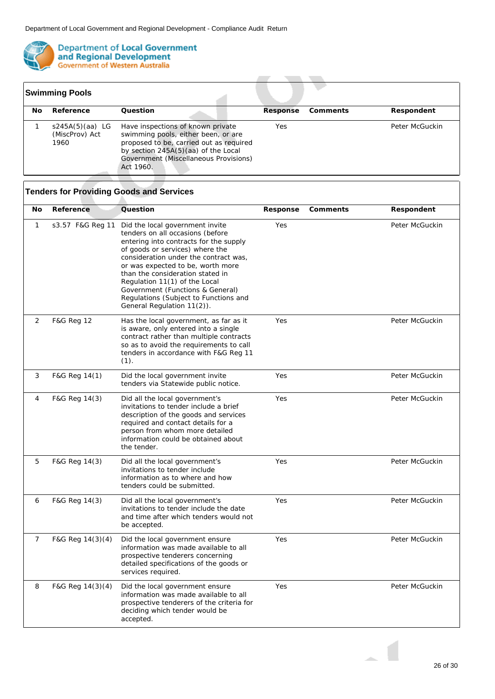

|     | <b>Swimming Pools</b>                       |                                                                                                                                                                                                                  |          |          |                |
|-----|---------------------------------------------|------------------------------------------------------------------------------------------------------------------------------------------------------------------------------------------------------------------|----------|----------|----------------|
| No. | Reference                                   | Ouestion                                                                                                                                                                                                         | Response | Comments | Respondent     |
|     | $s245A(5)(aa)$ LG<br>(MiscProv) Act<br>1960 | Have inspections of known private<br>swimming pools, either been, or are<br>proposed to be, carried out as required<br>by section 245A(5)(aa) of the Local<br>Government (Miscellaneous Provisions)<br>Act 1960. | Yes      |          | Peter McGuckin |

**Contract** 

 $\sim$ 

**COLLA** 

| No             | Reference                                                                                                                                                                                                                                                                                                                                                                                                                                 | Question                                                                                                                                                                                                                                       | Response       | Comments | Respondent     |
|----------------|-------------------------------------------------------------------------------------------------------------------------------------------------------------------------------------------------------------------------------------------------------------------------------------------------------------------------------------------------------------------------------------------------------------------------------------------|------------------------------------------------------------------------------------------------------------------------------------------------------------------------------------------------------------------------------------------------|----------------|----------|----------------|
| $\mathbf{1}$   | Yes<br>s3.57 F&G Reg 11<br>Did the local government invite<br>tenders on all occasions (before<br>entering into contracts for the supply<br>of goods or services) where the<br>consideration under the contract was,<br>or was expected to be, worth more<br>than the consideration stated in<br>Regulation 11(1) of the Local<br>Government (Functions & General)<br>Regulations (Subject to Functions and<br>General Regulation 11(2)). |                                                                                                                                                                                                                                                | Peter McGuckin |          |                |
| 2              | <b>F&amp;G Reg 12</b>                                                                                                                                                                                                                                                                                                                                                                                                                     | Has the local government, as far as it<br>is aware, only entered into a single<br>contract rather than multiple contracts<br>so as to avoid the requirements to call<br>tenders in accordance with F&G Reg 11<br>(1).                          | Yes            |          | Peter McGuckin |
| 3              | F&G Reg 14(1)                                                                                                                                                                                                                                                                                                                                                                                                                             | Did the local government invite<br>tenders via Statewide public notice.                                                                                                                                                                        | Yes            |          | Peter McGuckin |
| 4              | F&G Reg 14(3)                                                                                                                                                                                                                                                                                                                                                                                                                             | Did all the local government's<br>invitations to tender include a brief<br>description of the goods and services<br>required and contact details for a<br>person from whom more detailed<br>information could be obtained about<br>the tender. | Yes            |          | Peter McGuckin |
| 5              | F&G Reg 14(3)                                                                                                                                                                                                                                                                                                                                                                                                                             | Did all the local government's<br>invitations to tender include<br>information as to where and how<br>tenders could be submitted.                                                                                                              | Yes            |          | Peter McGuckin |
| 6              | F&G Reg 14(3)                                                                                                                                                                                                                                                                                                                                                                                                                             | Did all the local government's<br>invitations to tender include the date<br>and time after which tenders would not<br>be accepted.                                                                                                             | Yes            |          | Peter McGuckin |
| $\overline{7}$ | F&G Reg 14(3)(4)                                                                                                                                                                                                                                                                                                                                                                                                                          | Did the local government ensure<br>information was made available to all<br>prospective tenderers concerning<br>detailed specifications of the goods or<br>services required.                                                                  | Yes            |          | Peter McGuckin |
| 8              | F&G Reg 14(3)(4)                                                                                                                                                                                                                                                                                                                                                                                                                          | Did the local government ensure<br>information was made available to all<br>prospective tenderers of the criteria for<br>deciding which tender would be<br>accepted.                                                                           | Yes            |          | Peter McGuckin |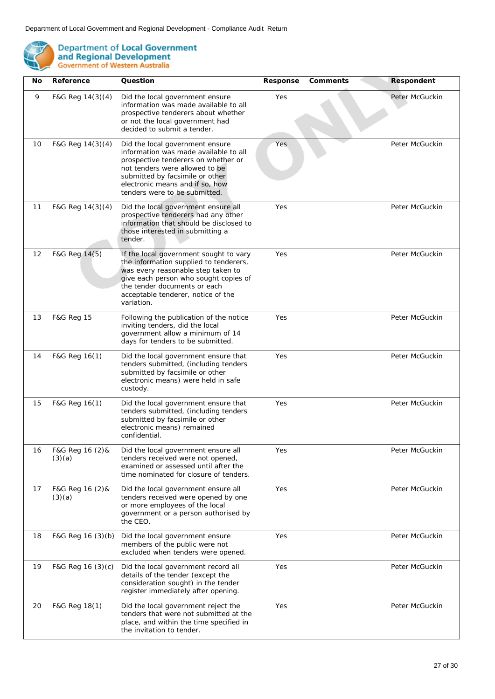

| No | Reference                  | Question                                                                                                                                                                                                                                                 | Response | Comments | Respondent     |
|----|----------------------------|----------------------------------------------------------------------------------------------------------------------------------------------------------------------------------------------------------------------------------------------------------|----------|----------|----------------|
| 9  | F&G Reg 14(3)(4)           | Did the local government ensure<br>information was made available to all<br>prospective tenderers about whether<br>or not the local government had<br>decided to submit a tender.                                                                        | Yes      |          | Peter McGuckin |
| 10 | F&G Reg 14(3)(4)           | Did the local government ensure<br>information was made available to all<br>prospective tenderers on whether or<br>not tenders were allowed to be<br>submitted by facsimile or other<br>electronic means and if so, how<br>tenders were to be submitted. | Yes      |          | Peter McGuckin |
| 11 | F&G Reg $14(3)(4)$         | Did the local government ensure all<br>prospective tenderers had any other<br>information that should be disclosed to<br>those interested in submitting a<br>tender.                                                                                     | Yes      |          | Peter McGuckin |
| 12 | F&G Reg 14(5)              | If the local government sought to vary<br>the information supplied to tenderers,<br>was every reasonable step taken to<br>give each person who sought copies of<br>the tender documents or each<br>acceptable tenderer, notice of the<br>variation.      | Yes      |          | Peter McGuckin |
| 13 | F&G Reg 15                 | Following the publication of the notice<br>inviting tenders, did the local<br>government allow a minimum of 14<br>days for tenders to be submitted.                                                                                                      | Yes      |          | Peter McGuckin |
| 14 | F&G Reg 16(1)              | Did the local government ensure that<br>tenders submitted, (including tenders<br>submitted by facsimile or other<br>electronic means) were held in safe<br>custody.                                                                                      | Yes      |          | Peter McGuckin |
| 15 | F&G Reg 16(1)              | Did the local government ensure that<br>tenders submitted, (including tenders<br>submitted by facsimile or other<br>electronic means) remained<br>confidential.                                                                                          | Yes      |          | Peter McGuckin |
| 16 | F&G Reg 16 (2) &<br>(3)(a) | Did the local government ensure all<br>tenders received were not opened,<br>examined or assessed until after the<br>time nominated for closure of tenders.                                                                                               | Yes      |          | Peter McGuckin |
| 17 | F&G Reg 16 (2) &<br>(3)(a) | Did the local government ensure all<br>tenders received were opened by one<br>or more employees of the local<br>government or a person authorised by<br>the CEO.                                                                                         | Yes      |          | Peter McGuckin |
| 18 | F&G Reg 16 (3)(b)          | Did the local government ensure<br>members of the public were not<br>excluded when tenders were opened.                                                                                                                                                  | Yes      |          | Peter McGuckin |
| 19 | F&G Reg 16 (3)(c)          | Did the local government record all<br>details of the tender (except the<br>consideration sought) in the tender<br>register immediately after opening.                                                                                                   | Yes      |          | Peter McGuckin |
| 20 | F&G Reg 18(1)              | Did the local government reject the<br>tenders that were not submitted at the<br>place, and within the time specified in<br>the invitation to tender.                                                                                                    | Yes      |          | Peter McGuckin |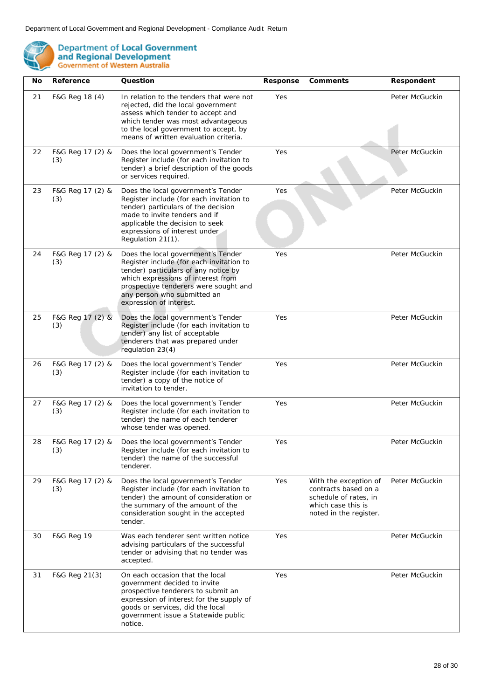

| No | Reference               | Question                                                                                                                                                                                                                                                        | Response | Comments                                                                                                               | Respondent     |
|----|-------------------------|-----------------------------------------------------------------------------------------------------------------------------------------------------------------------------------------------------------------------------------------------------------------|----------|------------------------------------------------------------------------------------------------------------------------|----------------|
| 21 | F&G Reg 18 (4)          | In relation to the tenders that were not<br>rejected, did the local government<br>assess which tender to accept and<br>which tender was most advantageous<br>to the local government to accept, by<br>means of written evaluation criteria.                     | Yes      |                                                                                                                        | Peter McGuckin |
| 22 | F&G Reg 17 (2) &<br>(3) | Does the local government's Tender<br>Register include (for each invitation to<br>tender) a brief description of the goods<br>or services required.                                                                                                             | Yes      |                                                                                                                        | Peter McGuckin |
| 23 | F&G Reg 17 (2) &<br>(3) | Does the local government's Tender<br>Register include (for each invitation to<br>tender) particulars of the decision<br>made to invite tenders and if<br>applicable the decision to seek<br>expressions of interest under<br>Regulation 21(1).                 | Yes      |                                                                                                                        | Peter McGuckin |
| 24 | F&G Reg 17 (2) &<br>(3) | Does the local government's Tender<br>Register include (for each invitation to<br>tender) particulars of any notice by<br>which expressions of interest from<br>prospective tenderers were sought and<br>any person who submitted an<br>expression of interest. | Yes      |                                                                                                                        | Peter McGuckin |
| 25 | F&G Reg 17 (2) &<br>(3) | Does the local government's Tender<br>Register include (for each invitation to<br>tender) any list of acceptable<br>tenderers that was prepared under<br>regulation 23(4)                                                                                       | Yes      |                                                                                                                        | Peter McGuckin |
| 26 | F&G Reg 17 (2) &<br>(3) | Does the local government's Tender<br>Register include (for each invitation to<br>tender) a copy of the notice of<br>invitation to tender.                                                                                                                      | Yes      |                                                                                                                        | Peter McGuckin |
| 27 | F&G Reg 17 (2) &<br>(3) | Does the local government's Tender<br>Register include (for each invitation to<br>tender) the name of each tenderer<br>whose tender was opened.                                                                                                                 | Yes      |                                                                                                                        | Peter McGuckin |
| 28 | F&G Reg 17 (2) &<br>(3) | Does the local government's Tender<br>Register include (for each invitation to<br>tender) the name of the successful<br>tenderer.                                                                                                                               | Yes      |                                                                                                                        | Peter McGuckin |
| 29 | F&G Reg 17 (2) &<br>(3) | Does the local government's Tender<br>Register include (for each invitation to<br>tender) the amount of consideration or<br>the summary of the amount of the<br>consideration sought in the accepted<br>tender.                                                 | Yes      | With the exception of<br>contracts based on a<br>schedule of rates, in<br>which case this is<br>noted in the register. | Peter McGuckin |
| 30 | F&G Reg 19              | Was each tenderer sent written notice<br>advising particulars of the successful<br>tender or advising that no tender was<br>accepted.                                                                                                                           | Yes      |                                                                                                                        | Peter McGuckin |
| 31 | F&G Reg 21(3)           | On each occasion that the local<br>government decided to invite<br>prospective tenderers to submit an<br>expression of interest for the supply of<br>goods or services, did the local<br>government issue a Statewide public<br>notice.                         | Yes      |                                                                                                                        | Peter McGuckin |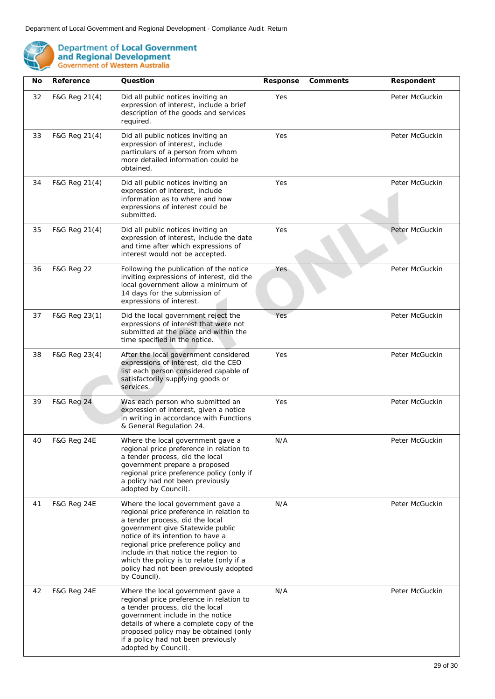

| No | Reference              | Question                                                                                                                                                                                                                                                                                                                                                                        | Response | Comments | Respondent     |
|----|------------------------|---------------------------------------------------------------------------------------------------------------------------------------------------------------------------------------------------------------------------------------------------------------------------------------------------------------------------------------------------------------------------------|----------|----------|----------------|
| 32 | F&G Reg 21(4)          | Did all public notices inviting an<br>expression of interest, include a brief<br>description of the goods and services<br>required.                                                                                                                                                                                                                                             | Yes      |          | Peter McGuckin |
| 33 | F&G Reg 21(4)          | Did all public notices inviting an<br>expression of interest, include<br>particulars of a person from whom<br>more detailed information could be<br>obtained.                                                                                                                                                                                                                   | Yes      |          | Peter McGuckin |
| 34 | F&G Reg 21(4)          | Did all public notices inviting an<br>expression of interest, include<br>information as to where and how<br>expressions of interest could be<br>submitted.                                                                                                                                                                                                                      | Yes      |          | Peter McGuckin |
| 35 | F&G Reg 21(4)          | Did all public notices inviting an<br>expression of interest, include the date<br>and time after which expressions of<br>interest would not be accepted.                                                                                                                                                                                                                        | Yes      |          | Peter McGuckin |
| 36 | <b>F&amp;G Reg 22</b>  | Following the publication of the notice<br>inviting expressions of interest, did the<br>local government allow a minimum of<br>14 days for the submission of<br>expressions of interest.                                                                                                                                                                                        | Yes      |          | Peter McGuckin |
| 37 | F&G Reg 23(1)          | Did the local government reject the<br>expressions of interest that were not<br>submitted at the place and within the<br>time specified in the notice.                                                                                                                                                                                                                          | Yes      |          | Peter McGuckin |
| 38 | F&G Reg 23(4)          | After the local government considered<br>expressions of interest, did the CEO<br>list each person considered capable of<br>satisfactorily supplying goods or<br>services.                                                                                                                                                                                                       | Yes      |          | Peter McGuckin |
| 39 | <b>F&amp;G Reg 24</b>  | Was each person who submitted an<br>expression of interest, given a notice<br>in writing in accordance with Functions<br>& General Regulation 24.                                                                                                                                                                                                                               | Yes      |          | Peter McGuckin |
| 40 | <b>F&amp;G Reg 24E</b> | Where the local government gave a<br>regional price preference in relation to<br>a tender process, did the local<br>government prepare a proposed<br>regional price preference policy (only if<br>a policy had not been previously<br>adopted by Council).                                                                                                                      | N/A      |          | Peter McGuckin |
| 41 | <b>F&amp;G Reg 24E</b> | Where the local government gave a<br>regional price preference in relation to<br>a tender process, did the local<br>government give Statewide public<br>notice of its intention to have a<br>regional price preference policy and<br>include in that notice the region to<br>which the policy is to relate (only if a<br>policy had not been previously adopted<br>by Council). | N/A      |          | Peter McGuckin |
| 42 | <b>F&amp;G Reg 24E</b> | Where the local government gave a<br>regional price preference in relation to<br>a tender process, did the local<br>government include in the notice<br>details of where a complete copy of the<br>proposed policy may be obtained (only<br>if a policy had not been previously<br>adopted by Council).                                                                         | N/A      |          | Peter McGuckin |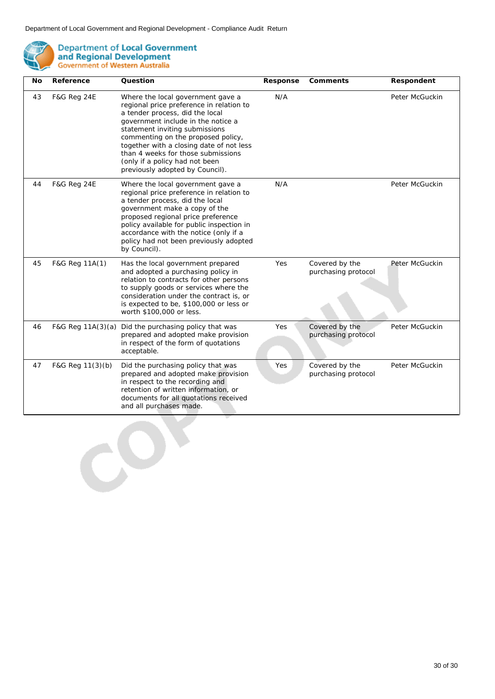

| No | Reference              | Question                                                                                                                                                                                                                                                                                                                                                                              | Response | Comments                              | Respondent     |
|----|------------------------|---------------------------------------------------------------------------------------------------------------------------------------------------------------------------------------------------------------------------------------------------------------------------------------------------------------------------------------------------------------------------------------|----------|---------------------------------------|----------------|
| 43 | F&G Reg 24E            | Where the local government gave a<br>regional price preference in relation to<br>a tender process, did the local<br>government include in the notice a<br>statement inviting submissions<br>commenting on the proposed policy,<br>together with a closing date of not less<br>than 4 weeks for those submissions<br>(only if a policy had not been<br>previously adopted by Council). | N/A      |                                       | Peter McGuckin |
| 44 | <b>F&amp;G Reg 24E</b> | Where the local government gave a<br>regional price preference in relation to<br>a tender process, did the local<br>government make a copy of the<br>proposed regional price preference<br>policy available for public inspection in<br>accordance with the notice (only if a<br>policy had not been previously adopted<br>by Council).                                               | N/A      |                                       | Peter McGuckin |
| 45 | F&G Reg 11A(1)         | Has the local government prepared<br>and adopted a purchasing policy in<br>relation to contracts for other persons<br>to supply goods or services where the<br>consideration under the contract is, or<br>is expected to be, \$100,000 or less or<br>worth \$100,000 or less.                                                                                                         | Yes      | Covered by the<br>purchasing protocol | Peter McGuckin |
| 46 |                        | F&G Reg 11A(3)(a) Did the purchasing policy that was<br>prepared and adopted make provision<br>in respect of the form of quotations<br>acceptable.                                                                                                                                                                                                                                    | Yes      | Covered by the<br>purchasing protocol | Peter McGuckin |
| 47 | F&G Reg 11(3)(b)       | Did the purchasing policy that was<br>prepared and adopted make provision<br>in respect to the recording and<br>retention of written information, or<br>documents for all quotations received<br>and all purchases made.                                                                                                                                                              | Yes      | Covered by the<br>purchasing protocol | Peter McGuckin |
|    |                        |                                                                                                                                                                                                                                                                                                                                                                                       |          |                                       |                |